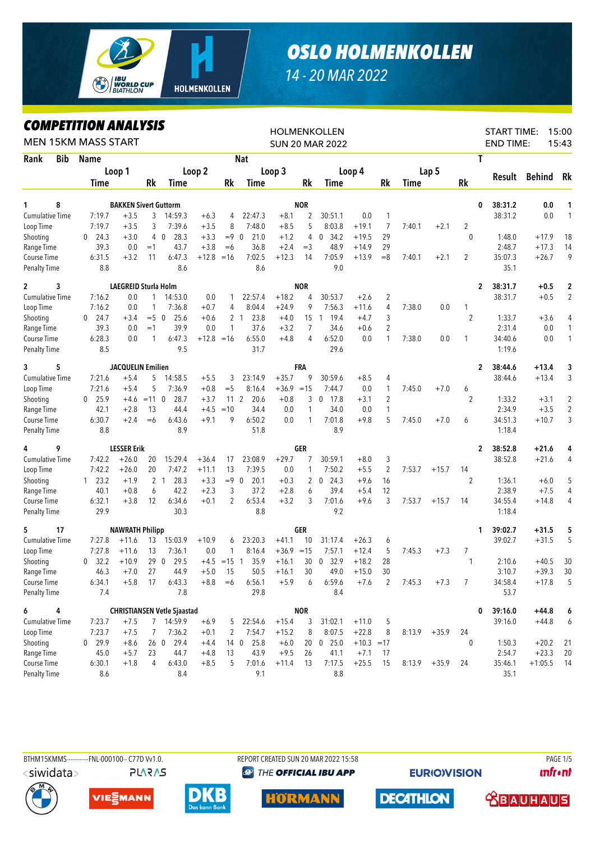

## *OSLO HOLMENKOLLEN*

## *14 - 20 MAR 2022*

*COMPETITION ANALYSIS*

| Rank<br>T<br><b>Bib</b><br><b>Nat</b><br><b>Name</b><br>Loop 2<br>Loop 3<br>Lap 5<br>Loop 1<br>Loop 4<br>Result<br>Behind<br>Rk<br><b>Rk</b><br>Rk<br>Rk<br>Rk<br>Rk<br>Time<br>Time<br>Time<br><b>Time</b><br>Time<br>8<br><b>NOR</b><br>38:31.2<br>0.0<br><b>BAKKEN Sivert Guttorm</b><br>0<br>1<br>1<br>38:31.2<br><b>Cumulative Time</b><br>7:19.7<br>$+3.5$<br>3<br>14:59.3<br>$+6.3$<br>22:47.3<br>$+8.1$<br>2<br>30:51.1<br>0.0<br>0.0<br>$\mathbf{1}$<br>4<br>1<br>8<br>7:48.0<br>5<br>8:03.8<br>$\overline{2}$<br>7:19.7<br>$+3.5$<br>3<br>7:39.6<br>$+3.5$<br>$+8.5$<br>$+19.1$<br>7<br>7:40.1<br>$+2.1$<br>Loop Time<br>$+3.0$<br>28.3<br>$+3.3$<br>4<br>29<br>24.3<br>$4\quad0$<br>$= 9 \ 0$<br>21.0<br>$+1.2$<br>$\mathbf{0}$<br>34.2<br>$+19.5$<br>$\mathbf{0}$<br>1:48.0<br>$+17.9$<br>18<br>Shooting<br>0<br>43.7<br>39.3<br>0.0<br>$+3.8$<br>36.8<br>$+2.4$<br>48.9<br>$+14.9$<br>29<br>2:48.7<br>$+17.3$<br>14<br>Range Time<br>$=1$<br>$= 6$<br>$=$ 3<br>9<br>6:47.3<br>7:05.9<br>$\overline{2}$<br>35:07.3<br>6:31.5<br>$+3.2$<br>11<br>$+12.8$<br>7:02.5<br>$+12.3$<br>14<br>$+13.9$<br>$=8$<br>7:40.1<br>$+2.1$<br>$+26.7$<br>Course Time<br>$=16$<br>8.8<br>8.6<br>8.6<br>9.0<br>35.1<br><b>Penalty Time</b><br>3<br><b>NOR</b><br>$\mathbf 2$<br>$\mathbf{2}$<br>LAEGREID Sturla Holm<br>38:31.7<br>$+0.5$<br>2<br>$\overline{2}$<br>7:16.2<br><b>Cumulative Time</b><br>0.0<br>14:53.0<br>0.0<br>22:57.4<br>$+18.2$<br>4<br>30:53.7<br>$+2.6$<br>$\overline{c}$<br>38:31.7<br>$+0.5$<br>1<br>1<br>$+24.9$<br>7:56.3<br>Loop Time<br>7:16.2<br>0.0<br>$\mathbf{1}$<br>7:36.8<br>$+0.7$<br>4<br>8:04.4<br>9<br>$+11.6$<br>4<br>7:38.0<br>0.0<br>1<br>$\overline{2}$<br>$= 5 \ 0$<br>25.6<br>$+0.6$<br>2 <sub>1</sub><br>23.8<br>1 19.4<br>3<br>1:33.7<br>$+3.6$<br>Shooting<br>24.7<br>$+3.4$<br>$+4.0$<br>15<br>$+4.7$<br>4<br>$\Omega$<br>$\overline{2}$<br>39.3<br>37.6<br>0.0<br>$=1$<br>39.9<br>0.0<br>1<br>$+3.2$<br>7<br>34.6<br>2:31.4<br>0.0<br>$\mathbf{1}$<br>Range Time<br>$+0.6$<br>6:47.3<br>6:55.0<br>6:52.0<br>$\mathbf{1}$<br>6:28.3<br>$\mathbf{1}$<br>$+12.8 = 16$<br>$+4.8$<br>4<br>0.0<br>1<br>7:38.0<br>0.0<br>34:40.6<br>0.0<br>Course Time<br>0.0<br>1<br>8.5<br>9.5<br>31.7<br>29.6<br>1:19.6<br><b>Penalty Time</b><br>5<br>JACQUELIN Emilien<br>FRA<br>38:44.6<br>$+13.4$<br>3<br>3<br>2<br>$+35.7$<br>3<br><b>Cumulative Time</b><br>7:21.6<br>$+5.4$<br>5<br>14:58.5<br>$+5.5$<br>23:14.9<br>9<br>30:59.6<br>$+8.5$<br>38:44.6<br>$+13.4$<br>3<br>4<br>5<br>7:21.6<br>$+5.4$<br>7:36.9<br>$+0.8$<br>$=$ 5<br>8:16.4<br>$+36.9 = 15$<br>7:44.7<br>0.0<br>1<br>7:45.0<br>$+7.0$<br>Loop Time<br>6<br>11 <sub>2</sub><br>20.6<br>$\overline{2}$<br>$\overline{2}$<br>$\overline{2}$<br>25.9<br>$= 11$ 0<br>28.7<br>$+3.7$<br>$+0.8$<br>3<br>17.8<br>$+3.1$<br>1:33.2<br>$+3.1$<br>Shooting<br>$+4.6$<br>0<br>0<br>$=10$<br>34.0<br>2:34.9<br>$\overline{2}$<br>42.1<br>$+2.8$<br>13<br>44.4<br>$+4.5$<br>34.4<br>0.0<br>1<br>0.0<br>1<br>$+3.5$<br>Range Time<br>5<br>3<br>6:30.7<br>$+2.4$<br>6:43.6<br>$+9.1$<br>9<br>6:50.2<br>0.0<br>7:01.8<br>$+9.8$<br>7:45.0<br>$+7.0$<br>34:51.3<br>$+10.7$<br>Course Time<br>$=6$<br>1<br>6<br>8.8<br>51.8<br>8.9<br>8.9<br>1:18.4<br><b>Penalty Time</b><br>9<br><b>LESSER Erik</b><br>GER<br>38:52.8<br>$+21.6$<br>4<br>4<br>2<br>38:52.8<br><b>Cumulative Time</b><br>7:42.2<br>$+26.0$<br>20<br>15:29.4<br>$+36.4$<br>23:08.9<br>$+29.7$<br>30:59.1<br>$+8.0$<br>3<br>$+21.6$<br>4<br>17<br>7<br>7:39.5<br>7:42.2<br>$+26.0$<br>20<br>7:47.2<br>$+11.1$<br>13<br>0.0<br>1<br>7:50.2<br>$+5.5$<br>2<br>7:53.7<br>$+15.7$<br>Loop Time<br>14<br>$\overline{2}$<br>5<br>$1 \quad 23.2$<br>21<br>28.3<br>$+3.3$<br>$= 9 \ 0$<br>20.1<br>$+0.3$<br>2<br>$0$ 24.3<br>$+9.6$<br>1:36.1<br>Shooting<br>$+1.9$<br>16<br>$+6.0$<br>37.2<br>39.4<br>2:38.9<br>40.1<br>$+0.8$<br>42.2<br>$+2.3$<br>3<br>$+2.8$<br>6<br>12<br>$+7.5$<br>4<br>Range Time<br>6<br>$+5.4$<br>6:34.6<br>$\overline{2}$<br>6:53.4<br>$+3.2$<br>7:01.6<br>3<br>6:32.1<br>$+3.8$<br>12<br>$+0.1$<br>3<br>$+9.6$<br>7:53.7<br>$+15.7$<br>34:55.4<br>$+14.8$<br>4<br>Course Time<br>14<br>29.9<br>30.3<br>8.8<br>9.2<br>1:18.4<br><b>Penalty Time</b><br>17<br>5<br><b>NAWRATH Philipp</b><br>GER<br>39:02.7<br>$+31.5$<br>5<br>1<br>5<br>7:27.8<br>15:03.9<br>$+10.9$<br>23:20.3<br>$+26.3$<br>39:02.7<br>$+31.5$<br><b>Cumulative Time</b><br>$+11.6$<br>13<br>$+41.1$<br>10<br>31:17.4<br>6<br>6<br>7:27.8<br>13<br>7:36.1<br>0.0<br>8:16.4<br>$+36.9 = 15$<br>7:57.1<br>$+12.4$<br>7:45.3<br>$+7.3$<br>Loop Time<br>$+11.6$<br>1<br>5<br>7<br>32.2<br>290<br>29.5<br>$+4.5$ = 15 1<br>32.9<br>$+18.2$<br>28<br>$+10.9$<br>35.9<br>$+16.1$<br>30<br>$\mathbf 0$<br>2:10.6<br>$+40.5$<br>30<br>$\mathbf{0}$<br>1<br>Shooting<br>$+39.3$<br>46.3<br>$+7.0$<br>27<br>44.9<br>$+5.0$<br>50.5<br>$+16.1$<br>30<br>49.0<br>$+15.0$<br>30<br>3:10.7<br>30<br>Range Time<br>-15<br>Course Time<br>$+5.8$<br>17<br>6:43.3<br>$+8.8$<br>6:56.1<br>$+5.9$<br>6<br>6:59.6<br>$+7.6$<br>2<br>7:45.3<br>$+7.3$<br>7<br>34:58.4<br>$+17.8$<br>5<br>6:34.1<br>$=6$<br><b>Penalty Time</b><br>7.8<br>29.8<br>8.4<br>53.7<br>7.4<br><b>NOR</b><br>39:16.0<br>6<br>4<br><b>CHRISTIANSEN Vetle Sjaastad</b><br>$+44.8$<br>0<br>6<br>Cumulative Time<br>7:23.7<br>$+7.5$<br>7 14:59.9<br>22:54.6<br>$+15.4$<br>3<br>31:02.1<br>$+11.0$<br>39:16.0<br>$+44.8$<br>6<br>$+6.9$<br>5<br>5<br>Loop Time<br>7:23.7<br>8:07.5<br>$+22.8$<br>$+7.5$<br>7<br>7:36.2<br>$+0.1$<br>2<br>7:54.7<br>8<br>8<br>$+35.9$<br>24<br>$+15.2$<br>8:13.9<br>$0$ 29.9<br>14 0 25.8<br>$0$ 25.0<br>$+10.3 = 17$<br>Shooting<br>$+8.6$<br>26 0 29.4<br>$+6.0$<br>$\mathbf{0}$<br>1:50.3<br>$+20.2$<br>$+4.4$<br>20<br>21<br>43.9<br>2:54.7<br>$+23.3$<br>20<br>Range Time<br>45.0<br>$+5.7$<br>13<br>$+9.5$<br>26<br>41.1<br>$+7.1$<br>23<br>44.7<br>$+4.8$<br>17<br>$+25.5$<br>Course Time<br>6:30.1<br>$+1.8$<br>4<br>6:43.0<br>7:01.6<br>13<br>7:17.5<br>35:46.1<br>$+1:05.5$<br>$+8.5$<br>5<br>$+11.4$<br>15<br>$8:13.9 + 35.9$<br>24<br>14<br>8.6<br>8.4<br>9.1<br>8.8<br>35.1<br><b>Penalty Time</b> | LUMPEIIIIUN ANALYƏIƏ<br><b>MEN 15KM MASS START</b> |  | HOLMENKOLLEN<br><b>SUN 20 MAR 2022</b> |  | <b>START TIME:</b><br>15:00<br><b>END TIME:</b><br>15:43 |  |  |  |  |  |  |  |  |
|--------------------------------------------------------------------------------------------------------------------------------------------------------------------------------------------------------------------------------------------------------------------------------------------------------------------------------------------------------------------------------------------------------------------------------------------------------------------------------------------------------------------------------------------------------------------------------------------------------------------------------------------------------------------------------------------------------------------------------------------------------------------------------------------------------------------------------------------------------------------------------------------------------------------------------------------------------------------------------------------------------------------------------------------------------------------------------------------------------------------------------------------------------------------------------------------------------------------------------------------------------------------------------------------------------------------------------------------------------------------------------------------------------------------------------------------------------------------------------------------------------------------------------------------------------------------------------------------------------------------------------------------------------------------------------------------------------------------------------------------------------------------------------------------------------------------------------------------------------------------------------------------------------------------------------------------------------------------------------------------------------------------------------------------------------------------------------------------------------------------------------------------------------------------------------------------------------------------------------------------------------------------------------------------------------------------------------------------------------------------------------------------------------------------------------------------------------------------------------------------------------------------------------------------------------------------------------------------------------------------------------------------------------------------------------------------------------------------------------------------------------------------------------------------------------------------------------------------------------------------------------------------------------------------------------------------------------------------------------------------------------------------------------------------------------------------------------------------------------------------------------------------------------------------------------------------------------------------------------------------------------------------------------------------------------------------------------------------------------------------------------------------------------------------------------------------------------------------------------------------------------------------------------------------------------------------------------------------------------------------------------------------------------------------------------------------------------------------------------------------------------------------------------------------------------------------------------------------------------------------------------------------------------------------------------------------------------------------------------------------------------------------------------------------------------------------------------------------------------------------------------------------------------------------------------------------------------------------------------------------------------------------------------------------------------------------------------------------------------------------------------------------------------------------------------------------------------------------------------------------------------------------------------------------------------------------------------------------------------------------------------------------------------------------------------------------------------------------------------------------------------------------------------------------------------------------------------------------------------------------------------------------------------------------------------------------------------------------------------------------------------------------------------------------------------------------------------------------------------------------------------------------------------------------------------------------------------------------------------------------------------------------------------------------------------------------------------------------------------------------------------------------------------------------------------------------------------------------------------------------------------------------------------------------------------------------------------------------------------------------------------------------------------------------------------------------------------------------------------------------------------------------------------------------------------------------------------------------------------------------------------------------------------------------------------------------------------------------------------------------------------------------------------------------------------------------------------------------------------------------------|----------------------------------------------------|--|----------------------------------------|--|----------------------------------------------------------|--|--|--|--|--|--|--|--|
|                                                                                                                                                                                                                                                                                                                                                                                                                                                                                                                                                                                                                                                                                                                                                                                                                                                                                                                                                                                                                                                                                                                                                                                                                                                                                                                                                                                                                                                                                                                                                                                                                                                                                                                                                                                                                                                                                                                                                                                                                                                                                                                                                                                                                                                                                                                                                                                                                                                                                                                                                                                                                                                                                                                                                                                                                                                                                                                                                                                                                                                                                                                                                                                                                                                                                                                                                                                                                                                                                                                                                                                                                                                                                                                                                                                                                                                                                                                                                                                                                                                                                                                                                                                                                                                                                                                                                                                                                                                                                                                                                                                                                                                                                                                                                                                                                                                                                                                                                                                                                                                                                                                                                                                                                                                                                                                                                                                                                                                                                                                                                                                                                                                                                                                                                                                                                                                                                                                                                                                                                                                                                                                          |                                                    |  |                                        |  |                                                          |  |  |  |  |  |  |  |  |
|                                                                                                                                                                                                                                                                                                                                                                                                                                                                                                                                                                                                                                                                                                                                                                                                                                                                                                                                                                                                                                                                                                                                                                                                                                                                                                                                                                                                                                                                                                                                                                                                                                                                                                                                                                                                                                                                                                                                                                                                                                                                                                                                                                                                                                                                                                                                                                                                                                                                                                                                                                                                                                                                                                                                                                                                                                                                                                                                                                                                                                                                                                                                                                                                                                                                                                                                                                                                                                                                                                                                                                                                                                                                                                                                                                                                                                                                                                                                                                                                                                                                                                                                                                                                                                                                                                                                                                                                                                                                                                                                                                                                                                                                                                                                                                                                                                                                                                                                                                                                                                                                                                                                                                                                                                                                                                                                                                                                                                                                                                                                                                                                                                                                                                                                                                                                                                                                                                                                                                                                                                                                                                                          |                                                    |  |                                        |  |                                                          |  |  |  |  |  |  |  |  |
|                                                                                                                                                                                                                                                                                                                                                                                                                                                                                                                                                                                                                                                                                                                                                                                                                                                                                                                                                                                                                                                                                                                                                                                                                                                                                                                                                                                                                                                                                                                                                                                                                                                                                                                                                                                                                                                                                                                                                                                                                                                                                                                                                                                                                                                                                                                                                                                                                                                                                                                                                                                                                                                                                                                                                                                                                                                                                                                                                                                                                                                                                                                                                                                                                                                                                                                                                                                                                                                                                                                                                                                                                                                                                                                                                                                                                                                                                                                                                                                                                                                                                                                                                                                                                                                                                                                                                                                                                                                                                                                                                                                                                                                                                                                                                                                                                                                                                                                                                                                                                                                                                                                                                                                                                                                                                                                                                                                                                                                                                                                                                                                                                                                                                                                                                                                                                                                                                                                                                                                                                                                                                                                          |                                                    |  |                                        |  |                                                          |  |  |  |  |  |  |  |  |
|                                                                                                                                                                                                                                                                                                                                                                                                                                                                                                                                                                                                                                                                                                                                                                                                                                                                                                                                                                                                                                                                                                                                                                                                                                                                                                                                                                                                                                                                                                                                                                                                                                                                                                                                                                                                                                                                                                                                                                                                                                                                                                                                                                                                                                                                                                                                                                                                                                                                                                                                                                                                                                                                                                                                                                                                                                                                                                                                                                                                                                                                                                                                                                                                                                                                                                                                                                                                                                                                                                                                                                                                                                                                                                                                                                                                                                                                                                                                                                                                                                                                                                                                                                                                                                                                                                                                                                                                                                                                                                                                                                                                                                                                                                                                                                                                                                                                                                                                                                                                                                                                                                                                                                                                                                                                                                                                                                                                                                                                                                                                                                                                                                                                                                                                                                                                                                                                                                                                                                                                                                                                                                                          |                                                    |  |                                        |  |                                                          |  |  |  |  |  |  |  |  |
|                                                                                                                                                                                                                                                                                                                                                                                                                                                                                                                                                                                                                                                                                                                                                                                                                                                                                                                                                                                                                                                                                                                                                                                                                                                                                                                                                                                                                                                                                                                                                                                                                                                                                                                                                                                                                                                                                                                                                                                                                                                                                                                                                                                                                                                                                                                                                                                                                                                                                                                                                                                                                                                                                                                                                                                                                                                                                                                                                                                                                                                                                                                                                                                                                                                                                                                                                                                                                                                                                                                                                                                                                                                                                                                                                                                                                                                                                                                                                                                                                                                                                                                                                                                                                                                                                                                                                                                                                                                                                                                                                                                                                                                                                                                                                                                                                                                                                                                                                                                                                                                                                                                                                                                                                                                                                                                                                                                                                                                                                                                                                                                                                                                                                                                                                                                                                                                                                                                                                                                                                                                                                                                          |                                                    |  |                                        |  |                                                          |  |  |  |  |  |  |  |  |
|                                                                                                                                                                                                                                                                                                                                                                                                                                                                                                                                                                                                                                                                                                                                                                                                                                                                                                                                                                                                                                                                                                                                                                                                                                                                                                                                                                                                                                                                                                                                                                                                                                                                                                                                                                                                                                                                                                                                                                                                                                                                                                                                                                                                                                                                                                                                                                                                                                                                                                                                                                                                                                                                                                                                                                                                                                                                                                                                                                                                                                                                                                                                                                                                                                                                                                                                                                                                                                                                                                                                                                                                                                                                                                                                                                                                                                                                                                                                                                                                                                                                                                                                                                                                                                                                                                                                                                                                                                                                                                                                                                                                                                                                                                                                                                                                                                                                                                                                                                                                                                                                                                                                                                                                                                                                                                                                                                                                                                                                                                                                                                                                                                                                                                                                                                                                                                                                                                                                                                                                                                                                                                                          |                                                    |  |                                        |  |                                                          |  |  |  |  |  |  |  |  |
|                                                                                                                                                                                                                                                                                                                                                                                                                                                                                                                                                                                                                                                                                                                                                                                                                                                                                                                                                                                                                                                                                                                                                                                                                                                                                                                                                                                                                                                                                                                                                                                                                                                                                                                                                                                                                                                                                                                                                                                                                                                                                                                                                                                                                                                                                                                                                                                                                                                                                                                                                                                                                                                                                                                                                                                                                                                                                                                                                                                                                                                                                                                                                                                                                                                                                                                                                                                                                                                                                                                                                                                                                                                                                                                                                                                                                                                                                                                                                                                                                                                                                                                                                                                                                                                                                                                                                                                                                                                                                                                                                                                                                                                                                                                                                                                                                                                                                                                                                                                                                                                                                                                                                                                                                                                                                                                                                                                                                                                                                                                                                                                                                                                                                                                                                                                                                                                                                                                                                                                                                                                                                                                          |                                                    |  |                                        |  |                                                          |  |  |  |  |  |  |  |  |
|                                                                                                                                                                                                                                                                                                                                                                                                                                                                                                                                                                                                                                                                                                                                                                                                                                                                                                                                                                                                                                                                                                                                                                                                                                                                                                                                                                                                                                                                                                                                                                                                                                                                                                                                                                                                                                                                                                                                                                                                                                                                                                                                                                                                                                                                                                                                                                                                                                                                                                                                                                                                                                                                                                                                                                                                                                                                                                                                                                                                                                                                                                                                                                                                                                                                                                                                                                                                                                                                                                                                                                                                                                                                                                                                                                                                                                                                                                                                                                                                                                                                                                                                                                                                                                                                                                                                                                                                                                                                                                                                                                                                                                                                                                                                                                                                                                                                                                                                                                                                                                                                                                                                                                                                                                                                                                                                                                                                                                                                                                                                                                                                                                                                                                                                                                                                                                                                                                                                                                                                                                                                                                                          |                                                    |  |                                        |  |                                                          |  |  |  |  |  |  |  |  |
|                                                                                                                                                                                                                                                                                                                                                                                                                                                                                                                                                                                                                                                                                                                                                                                                                                                                                                                                                                                                                                                                                                                                                                                                                                                                                                                                                                                                                                                                                                                                                                                                                                                                                                                                                                                                                                                                                                                                                                                                                                                                                                                                                                                                                                                                                                                                                                                                                                                                                                                                                                                                                                                                                                                                                                                                                                                                                                                                                                                                                                                                                                                                                                                                                                                                                                                                                                                                                                                                                                                                                                                                                                                                                                                                                                                                                                                                                                                                                                                                                                                                                                                                                                                                                                                                                                                                                                                                                                                                                                                                                                                                                                                                                                                                                                                                                                                                                                                                                                                                                                                                                                                                                                                                                                                                                                                                                                                                                                                                                                                                                                                                                                                                                                                                                                                                                                                                                                                                                                                                                                                                                                                          |                                                    |  |                                        |  |                                                          |  |  |  |  |  |  |  |  |
|                                                                                                                                                                                                                                                                                                                                                                                                                                                                                                                                                                                                                                                                                                                                                                                                                                                                                                                                                                                                                                                                                                                                                                                                                                                                                                                                                                                                                                                                                                                                                                                                                                                                                                                                                                                                                                                                                                                                                                                                                                                                                                                                                                                                                                                                                                                                                                                                                                                                                                                                                                                                                                                                                                                                                                                                                                                                                                                                                                                                                                                                                                                                                                                                                                                                                                                                                                                                                                                                                                                                                                                                                                                                                                                                                                                                                                                                                                                                                                                                                                                                                                                                                                                                                                                                                                                                                                                                                                                                                                                                                                                                                                                                                                                                                                                                                                                                                                                                                                                                                                                                                                                                                                                                                                                                                                                                                                                                                                                                                                                                                                                                                                                                                                                                                                                                                                                                                                                                                                                                                                                                                                                          |                                                    |  |                                        |  |                                                          |  |  |  |  |  |  |  |  |
|                                                                                                                                                                                                                                                                                                                                                                                                                                                                                                                                                                                                                                                                                                                                                                                                                                                                                                                                                                                                                                                                                                                                                                                                                                                                                                                                                                                                                                                                                                                                                                                                                                                                                                                                                                                                                                                                                                                                                                                                                                                                                                                                                                                                                                                                                                                                                                                                                                                                                                                                                                                                                                                                                                                                                                                                                                                                                                                                                                                                                                                                                                                                                                                                                                                                                                                                                                                                                                                                                                                                                                                                                                                                                                                                                                                                                                                                                                                                                                                                                                                                                                                                                                                                                                                                                                                                                                                                                                                                                                                                                                                                                                                                                                                                                                                                                                                                                                                                                                                                                                                                                                                                                                                                                                                                                                                                                                                                                                                                                                                                                                                                                                                                                                                                                                                                                                                                                                                                                                                                                                                                                                                          |                                                    |  |                                        |  |                                                          |  |  |  |  |  |  |  |  |
|                                                                                                                                                                                                                                                                                                                                                                                                                                                                                                                                                                                                                                                                                                                                                                                                                                                                                                                                                                                                                                                                                                                                                                                                                                                                                                                                                                                                                                                                                                                                                                                                                                                                                                                                                                                                                                                                                                                                                                                                                                                                                                                                                                                                                                                                                                                                                                                                                                                                                                                                                                                                                                                                                                                                                                                                                                                                                                                                                                                                                                                                                                                                                                                                                                                                                                                                                                                                                                                                                                                                                                                                                                                                                                                                                                                                                                                                                                                                                                                                                                                                                                                                                                                                                                                                                                                                                                                                                                                                                                                                                                                                                                                                                                                                                                                                                                                                                                                                                                                                                                                                                                                                                                                                                                                                                                                                                                                                                                                                                                                                                                                                                                                                                                                                                                                                                                                                                                                                                                                                                                                                                                                          |                                                    |  |                                        |  |                                                          |  |  |  |  |  |  |  |  |
|                                                                                                                                                                                                                                                                                                                                                                                                                                                                                                                                                                                                                                                                                                                                                                                                                                                                                                                                                                                                                                                                                                                                                                                                                                                                                                                                                                                                                                                                                                                                                                                                                                                                                                                                                                                                                                                                                                                                                                                                                                                                                                                                                                                                                                                                                                                                                                                                                                                                                                                                                                                                                                                                                                                                                                                                                                                                                                                                                                                                                                                                                                                                                                                                                                                                                                                                                                                                                                                                                                                                                                                                                                                                                                                                                                                                                                                                                                                                                                                                                                                                                                                                                                                                                                                                                                                                                                                                                                                                                                                                                                                                                                                                                                                                                                                                                                                                                                                                                                                                                                                                                                                                                                                                                                                                                                                                                                                                                                                                                                                                                                                                                                                                                                                                                                                                                                                                                                                                                                                                                                                                                                                          |                                                    |  |                                        |  |                                                          |  |  |  |  |  |  |  |  |
|                                                                                                                                                                                                                                                                                                                                                                                                                                                                                                                                                                                                                                                                                                                                                                                                                                                                                                                                                                                                                                                                                                                                                                                                                                                                                                                                                                                                                                                                                                                                                                                                                                                                                                                                                                                                                                                                                                                                                                                                                                                                                                                                                                                                                                                                                                                                                                                                                                                                                                                                                                                                                                                                                                                                                                                                                                                                                                                                                                                                                                                                                                                                                                                                                                                                                                                                                                                                                                                                                                                                                                                                                                                                                                                                                                                                                                                                                                                                                                                                                                                                                                                                                                                                                                                                                                                                                                                                                                                                                                                                                                                                                                                                                                                                                                                                                                                                                                                                                                                                                                                                                                                                                                                                                                                                                                                                                                                                                                                                                                                                                                                                                                                                                                                                                                                                                                                                                                                                                                                                                                                                                                                          |                                                    |  |                                        |  |                                                          |  |  |  |  |  |  |  |  |
|                                                                                                                                                                                                                                                                                                                                                                                                                                                                                                                                                                                                                                                                                                                                                                                                                                                                                                                                                                                                                                                                                                                                                                                                                                                                                                                                                                                                                                                                                                                                                                                                                                                                                                                                                                                                                                                                                                                                                                                                                                                                                                                                                                                                                                                                                                                                                                                                                                                                                                                                                                                                                                                                                                                                                                                                                                                                                                                                                                                                                                                                                                                                                                                                                                                                                                                                                                                                                                                                                                                                                                                                                                                                                                                                                                                                                                                                                                                                                                                                                                                                                                                                                                                                                                                                                                                                                                                                                                                                                                                                                                                                                                                                                                                                                                                                                                                                                                                                                                                                                                                                                                                                                                                                                                                                                                                                                                                                                                                                                                                                                                                                                                                                                                                                                                                                                                                                                                                                                                                                                                                                                                                          |                                                    |  |                                        |  |                                                          |  |  |  |  |  |  |  |  |
|                                                                                                                                                                                                                                                                                                                                                                                                                                                                                                                                                                                                                                                                                                                                                                                                                                                                                                                                                                                                                                                                                                                                                                                                                                                                                                                                                                                                                                                                                                                                                                                                                                                                                                                                                                                                                                                                                                                                                                                                                                                                                                                                                                                                                                                                                                                                                                                                                                                                                                                                                                                                                                                                                                                                                                                                                                                                                                                                                                                                                                                                                                                                                                                                                                                                                                                                                                                                                                                                                                                                                                                                                                                                                                                                                                                                                                                                                                                                                                                                                                                                                                                                                                                                                                                                                                                                                                                                                                                                                                                                                                                                                                                                                                                                                                                                                                                                                                                                                                                                                                                                                                                                                                                                                                                                                                                                                                                                                                                                                                                                                                                                                                                                                                                                                                                                                                                                                                                                                                                                                                                                                                                          |                                                    |  |                                        |  |                                                          |  |  |  |  |  |  |  |  |
|                                                                                                                                                                                                                                                                                                                                                                                                                                                                                                                                                                                                                                                                                                                                                                                                                                                                                                                                                                                                                                                                                                                                                                                                                                                                                                                                                                                                                                                                                                                                                                                                                                                                                                                                                                                                                                                                                                                                                                                                                                                                                                                                                                                                                                                                                                                                                                                                                                                                                                                                                                                                                                                                                                                                                                                                                                                                                                                                                                                                                                                                                                                                                                                                                                                                                                                                                                                                                                                                                                                                                                                                                                                                                                                                                                                                                                                                                                                                                                                                                                                                                                                                                                                                                                                                                                                                                                                                                                                                                                                                                                                                                                                                                                                                                                                                                                                                                                                                                                                                                                                                                                                                                                                                                                                                                                                                                                                                                                                                                                                                                                                                                                                                                                                                                                                                                                                                                                                                                                                                                                                                                                                          |                                                    |  |                                        |  |                                                          |  |  |  |  |  |  |  |  |
|                                                                                                                                                                                                                                                                                                                                                                                                                                                                                                                                                                                                                                                                                                                                                                                                                                                                                                                                                                                                                                                                                                                                                                                                                                                                                                                                                                                                                                                                                                                                                                                                                                                                                                                                                                                                                                                                                                                                                                                                                                                                                                                                                                                                                                                                                                                                                                                                                                                                                                                                                                                                                                                                                                                                                                                                                                                                                                                                                                                                                                                                                                                                                                                                                                                                                                                                                                                                                                                                                                                                                                                                                                                                                                                                                                                                                                                                                                                                                                                                                                                                                                                                                                                                                                                                                                                                                                                                                                                                                                                                                                                                                                                                                                                                                                                                                                                                                                                                                                                                                                                                                                                                                                                                                                                                                                                                                                                                                                                                                                                                                                                                                                                                                                                                                                                                                                                                                                                                                                                                                                                                                                                          |                                                    |  |                                        |  |                                                          |  |  |  |  |  |  |  |  |
|                                                                                                                                                                                                                                                                                                                                                                                                                                                                                                                                                                                                                                                                                                                                                                                                                                                                                                                                                                                                                                                                                                                                                                                                                                                                                                                                                                                                                                                                                                                                                                                                                                                                                                                                                                                                                                                                                                                                                                                                                                                                                                                                                                                                                                                                                                                                                                                                                                                                                                                                                                                                                                                                                                                                                                                                                                                                                                                                                                                                                                                                                                                                                                                                                                                                                                                                                                                                                                                                                                                                                                                                                                                                                                                                                                                                                                                                                                                                                                                                                                                                                                                                                                                                                                                                                                                                                                                                                                                                                                                                                                                                                                                                                                                                                                                                                                                                                                                                                                                                                                                                                                                                                                                                                                                                                                                                                                                                                                                                                                                                                                                                                                                                                                                                                                                                                                                                                                                                                                                                                                                                                                                          |                                                    |  |                                        |  |                                                          |  |  |  |  |  |  |  |  |
|                                                                                                                                                                                                                                                                                                                                                                                                                                                                                                                                                                                                                                                                                                                                                                                                                                                                                                                                                                                                                                                                                                                                                                                                                                                                                                                                                                                                                                                                                                                                                                                                                                                                                                                                                                                                                                                                                                                                                                                                                                                                                                                                                                                                                                                                                                                                                                                                                                                                                                                                                                                                                                                                                                                                                                                                                                                                                                                                                                                                                                                                                                                                                                                                                                                                                                                                                                                                                                                                                                                                                                                                                                                                                                                                                                                                                                                                                                                                                                                                                                                                                                                                                                                                                                                                                                                                                                                                                                                                                                                                                                                                                                                                                                                                                                                                                                                                                                                                                                                                                                                                                                                                                                                                                                                                                                                                                                                                                                                                                                                                                                                                                                                                                                                                                                                                                                                                                                                                                                                                                                                                                                                          |                                                    |  |                                        |  |                                                          |  |  |  |  |  |  |  |  |
|                                                                                                                                                                                                                                                                                                                                                                                                                                                                                                                                                                                                                                                                                                                                                                                                                                                                                                                                                                                                                                                                                                                                                                                                                                                                                                                                                                                                                                                                                                                                                                                                                                                                                                                                                                                                                                                                                                                                                                                                                                                                                                                                                                                                                                                                                                                                                                                                                                                                                                                                                                                                                                                                                                                                                                                                                                                                                                                                                                                                                                                                                                                                                                                                                                                                                                                                                                                                                                                                                                                                                                                                                                                                                                                                                                                                                                                                                                                                                                                                                                                                                                                                                                                                                                                                                                                                                                                                                                                                                                                                                                                                                                                                                                                                                                                                                                                                                                                                                                                                                                                                                                                                                                                                                                                                                                                                                                                                                                                                                                                                                                                                                                                                                                                                                                                                                                                                                                                                                                                                                                                                                                                          |                                                    |  |                                        |  |                                                          |  |  |  |  |  |  |  |  |
|                                                                                                                                                                                                                                                                                                                                                                                                                                                                                                                                                                                                                                                                                                                                                                                                                                                                                                                                                                                                                                                                                                                                                                                                                                                                                                                                                                                                                                                                                                                                                                                                                                                                                                                                                                                                                                                                                                                                                                                                                                                                                                                                                                                                                                                                                                                                                                                                                                                                                                                                                                                                                                                                                                                                                                                                                                                                                                                                                                                                                                                                                                                                                                                                                                                                                                                                                                                                                                                                                                                                                                                                                                                                                                                                                                                                                                                                                                                                                                                                                                                                                                                                                                                                                                                                                                                                                                                                                                                                                                                                                                                                                                                                                                                                                                                                                                                                                                                                                                                                                                                                                                                                                                                                                                                                                                                                                                                                                                                                                                                                                                                                                                                                                                                                                                                                                                                                                                                                                                                                                                                                                                                          |                                                    |  |                                        |  |                                                          |  |  |  |  |  |  |  |  |
|                                                                                                                                                                                                                                                                                                                                                                                                                                                                                                                                                                                                                                                                                                                                                                                                                                                                                                                                                                                                                                                                                                                                                                                                                                                                                                                                                                                                                                                                                                                                                                                                                                                                                                                                                                                                                                                                                                                                                                                                                                                                                                                                                                                                                                                                                                                                                                                                                                                                                                                                                                                                                                                                                                                                                                                                                                                                                                                                                                                                                                                                                                                                                                                                                                                                                                                                                                                                                                                                                                                                                                                                                                                                                                                                                                                                                                                                                                                                                                                                                                                                                                                                                                                                                                                                                                                                                                                                                                                                                                                                                                                                                                                                                                                                                                                                                                                                                                                                                                                                                                                                                                                                                                                                                                                                                                                                                                                                                                                                                                                                                                                                                                                                                                                                                                                                                                                                                                                                                                                                                                                                                                                          |                                                    |  |                                        |  |                                                          |  |  |  |  |  |  |  |  |
|                                                                                                                                                                                                                                                                                                                                                                                                                                                                                                                                                                                                                                                                                                                                                                                                                                                                                                                                                                                                                                                                                                                                                                                                                                                                                                                                                                                                                                                                                                                                                                                                                                                                                                                                                                                                                                                                                                                                                                                                                                                                                                                                                                                                                                                                                                                                                                                                                                                                                                                                                                                                                                                                                                                                                                                                                                                                                                                                                                                                                                                                                                                                                                                                                                                                                                                                                                                                                                                                                                                                                                                                                                                                                                                                                                                                                                                                                                                                                                                                                                                                                                                                                                                                                                                                                                                                                                                                                                                                                                                                                                                                                                                                                                                                                                                                                                                                                                                                                                                                                                                                                                                                                                                                                                                                                                                                                                                                                                                                                                                                                                                                                                                                                                                                                                                                                                                                                                                                                                                                                                                                                                                          |                                                    |  |                                        |  |                                                          |  |  |  |  |  |  |  |  |
|                                                                                                                                                                                                                                                                                                                                                                                                                                                                                                                                                                                                                                                                                                                                                                                                                                                                                                                                                                                                                                                                                                                                                                                                                                                                                                                                                                                                                                                                                                                                                                                                                                                                                                                                                                                                                                                                                                                                                                                                                                                                                                                                                                                                                                                                                                                                                                                                                                                                                                                                                                                                                                                                                                                                                                                                                                                                                                                                                                                                                                                                                                                                                                                                                                                                                                                                                                                                                                                                                                                                                                                                                                                                                                                                                                                                                                                                                                                                                                                                                                                                                                                                                                                                                                                                                                                                                                                                                                                                                                                                                                                                                                                                                                                                                                                                                                                                                                                                                                                                                                                                                                                                                                                                                                                                                                                                                                                                                                                                                                                                                                                                                                                                                                                                                                                                                                                                                                                                                                                                                                                                                                                          |                                                    |  |                                        |  |                                                          |  |  |  |  |  |  |  |  |
|                                                                                                                                                                                                                                                                                                                                                                                                                                                                                                                                                                                                                                                                                                                                                                                                                                                                                                                                                                                                                                                                                                                                                                                                                                                                                                                                                                                                                                                                                                                                                                                                                                                                                                                                                                                                                                                                                                                                                                                                                                                                                                                                                                                                                                                                                                                                                                                                                                                                                                                                                                                                                                                                                                                                                                                                                                                                                                                                                                                                                                                                                                                                                                                                                                                                                                                                                                                                                                                                                                                                                                                                                                                                                                                                                                                                                                                                                                                                                                                                                                                                                                                                                                                                                                                                                                                                                                                                                                                                                                                                                                                                                                                                                                                                                                                                                                                                                                                                                                                                                                                                                                                                                                                                                                                                                                                                                                                                                                                                                                                                                                                                                                                                                                                                                                                                                                                                                                                                                                                                                                                                                                                          |                                                    |  |                                        |  |                                                          |  |  |  |  |  |  |  |  |
|                                                                                                                                                                                                                                                                                                                                                                                                                                                                                                                                                                                                                                                                                                                                                                                                                                                                                                                                                                                                                                                                                                                                                                                                                                                                                                                                                                                                                                                                                                                                                                                                                                                                                                                                                                                                                                                                                                                                                                                                                                                                                                                                                                                                                                                                                                                                                                                                                                                                                                                                                                                                                                                                                                                                                                                                                                                                                                                                                                                                                                                                                                                                                                                                                                                                                                                                                                                                                                                                                                                                                                                                                                                                                                                                                                                                                                                                                                                                                                                                                                                                                                                                                                                                                                                                                                                                                                                                                                                                                                                                                                                                                                                                                                                                                                                                                                                                                                                                                                                                                                                                                                                                                                                                                                                                                                                                                                                                                                                                                                                                                                                                                                                                                                                                                                                                                                                                                                                                                                                                                                                                                                                          |                                                    |  |                                        |  |                                                          |  |  |  |  |  |  |  |  |
|                                                                                                                                                                                                                                                                                                                                                                                                                                                                                                                                                                                                                                                                                                                                                                                                                                                                                                                                                                                                                                                                                                                                                                                                                                                                                                                                                                                                                                                                                                                                                                                                                                                                                                                                                                                                                                                                                                                                                                                                                                                                                                                                                                                                                                                                                                                                                                                                                                                                                                                                                                                                                                                                                                                                                                                                                                                                                                                                                                                                                                                                                                                                                                                                                                                                                                                                                                                                                                                                                                                                                                                                                                                                                                                                                                                                                                                                                                                                                                                                                                                                                                                                                                                                                                                                                                                                                                                                                                                                                                                                                                                                                                                                                                                                                                                                                                                                                                                                                                                                                                                                                                                                                                                                                                                                                                                                                                                                                                                                                                                                                                                                                                                                                                                                                                                                                                                                                                                                                                                                                                                                                                                          |                                                    |  |                                        |  |                                                          |  |  |  |  |  |  |  |  |
|                                                                                                                                                                                                                                                                                                                                                                                                                                                                                                                                                                                                                                                                                                                                                                                                                                                                                                                                                                                                                                                                                                                                                                                                                                                                                                                                                                                                                                                                                                                                                                                                                                                                                                                                                                                                                                                                                                                                                                                                                                                                                                                                                                                                                                                                                                                                                                                                                                                                                                                                                                                                                                                                                                                                                                                                                                                                                                                                                                                                                                                                                                                                                                                                                                                                                                                                                                                                                                                                                                                                                                                                                                                                                                                                                                                                                                                                                                                                                                                                                                                                                                                                                                                                                                                                                                                                                                                                                                                                                                                                                                                                                                                                                                                                                                                                                                                                                                                                                                                                                                                                                                                                                                                                                                                                                                                                                                                                                                                                                                                                                                                                                                                                                                                                                                                                                                                                                                                                                                                                                                                                                                                          |                                                    |  |                                        |  |                                                          |  |  |  |  |  |  |  |  |
|                                                                                                                                                                                                                                                                                                                                                                                                                                                                                                                                                                                                                                                                                                                                                                                                                                                                                                                                                                                                                                                                                                                                                                                                                                                                                                                                                                                                                                                                                                                                                                                                                                                                                                                                                                                                                                                                                                                                                                                                                                                                                                                                                                                                                                                                                                                                                                                                                                                                                                                                                                                                                                                                                                                                                                                                                                                                                                                                                                                                                                                                                                                                                                                                                                                                                                                                                                                                                                                                                                                                                                                                                                                                                                                                                                                                                                                                                                                                                                                                                                                                                                                                                                                                                                                                                                                                                                                                                                                                                                                                                                                                                                                                                                                                                                                                                                                                                                                                                                                                                                                                                                                                                                                                                                                                                                                                                                                                                                                                                                                                                                                                                                                                                                                                                                                                                                                                                                                                                                                                                                                                                                                          |                                                    |  |                                        |  |                                                          |  |  |  |  |  |  |  |  |
|                                                                                                                                                                                                                                                                                                                                                                                                                                                                                                                                                                                                                                                                                                                                                                                                                                                                                                                                                                                                                                                                                                                                                                                                                                                                                                                                                                                                                                                                                                                                                                                                                                                                                                                                                                                                                                                                                                                                                                                                                                                                                                                                                                                                                                                                                                                                                                                                                                                                                                                                                                                                                                                                                                                                                                                                                                                                                                                                                                                                                                                                                                                                                                                                                                                                                                                                                                                                                                                                                                                                                                                                                                                                                                                                                                                                                                                                                                                                                                                                                                                                                                                                                                                                                                                                                                                                                                                                                                                                                                                                                                                                                                                                                                                                                                                                                                                                                                                                                                                                                                                                                                                                                                                                                                                                                                                                                                                                                                                                                                                                                                                                                                                                                                                                                                                                                                                                                                                                                                                                                                                                                                                          |                                                    |  |                                        |  |                                                          |  |  |  |  |  |  |  |  |
|                                                                                                                                                                                                                                                                                                                                                                                                                                                                                                                                                                                                                                                                                                                                                                                                                                                                                                                                                                                                                                                                                                                                                                                                                                                                                                                                                                                                                                                                                                                                                                                                                                                                                                                                                                                                                                                                                                                                                                                                                                                                                                                                                                                                                                                                                                                                                                                                                                                                                                                                                                                                                                                                                                                                                                                                                                                                                                                                                                                                                                                                                                                                                                                                                                                                                                                                                                                                                                                                                                                                                                                                                                                                                                                                                                                                                                                                                                                                                                                                                                                                                                                                                                                                                                                                                                                                                                                                                                                                                                                                                                                                                                                                                                                                                                                                                                                                                                                                                                                                                                                                                                                                                                                                                                                                                                                                                                                                                                                                                                                                                                                                                                                                                                                                                                                                                                                                                                                                                                                                                                                                                                                          |                                                    |  |                                        |  |                                                          |  |  |  |  |  |  |  |  |
|                                                                                                                                                                                                                                                                                                                                                                                                                                                                                                                                                                                                                                                                                                                                                                                                                                                                                                                                                                                                                                                                                                                                                                                                                                                                                                                                                                                                                                                                                                                                                                                                                                                                                                                                                                                                                                                                                                                                                                                                                                                                                                                                                                                                                                                                                                                                                                                                                                                                                                                                                                                                                                                                                                                                                                                                                                                                                                                                                                                                                                                                                                                                                                                                                                                                                                                                                                                                                                                                                                                                                                                                                                                                                                                                                                                                                                                                                                                                                                                                                                                                                                                                                                                                                                                                                                                                                                                                                                                                                                                                                                                                                                                                                                                                                                                                                                                                                                                                                                                                                                                                                                                                                                                                                                                                                                                                                                                                                                                                                                                                                                                                                                                                                                                                                                                                                                                                                                                                                                                                                                                                                                                          |                                                    |  |                                        |  |                                                          |  |  |  |  |  |  |  |  |
|                                                                                                                                                                                                                                                                                                                                                                                                                                                                                                                                                                                                                                                                                                                                                                                                                                                                                                                                                                                                                                                                                                                                                                                                                                                                                                                                                                                                                                                                                                                                                                                                                                                                                                                                                                                                                                                                                                                                                                                                                                                                                                                                                                                                                                                                                                                                                                                                                                                                                                                                                                                                                                                                                                                                                                                                                                                                                                                                                                                                                                                                                                                                                                                                                                                                                                                                                                                                                                                                                                                                                                                                                                                                                                                                                                                                                                                                                                                                                                                                                                                                                                                                                                                                                                                                                                                                                                                                                                                                                                                                                                                                                                                                                                                                                                                                                                                                                                                                                                                                                                                                                                                                                                                                                                                                                                                                                                                                                                                                                                                                                                                                                                                                                                                                                                                                                                                                                                                                                                                                                                                                                                                          |                                                    |  |                                        |  |                                                          |  |  |  |  |  |  |  |  |
|                                                                                                                                                                                                                                                                                                                                                                                                                                                                                                                                                                                                                                                                                                                                                                                                                                                                                                                                                                                                                                                                                                                                                                                                                                                                                                                                                                                                                                                                                                                                                                                                                                                                                                                                                                                                                                                                                                                                                                                                                                                                                                                                                                                                                                                                                                                                                                                                                                                                                                                                                                                                                                                                                                                                                                                                                                                                                                                                                                                                                                                                                                                                                                                                                                                                                                                                                                                                                                                                                                                                                                                                                                                                                                                                                                                                                                                                                                                                                                                                                                                                                                                                                                                                                                                                                                                                                                                                                                                                                                                                                                                                                                                                                                                                                                                                                                                                                                                                                                                                                                                                                                                                                                                                                                                                                                                                                                                                                                                                                                                                                                                                                                                                                                                                                                                                                                                                                                                                                                                                                                                                                                                          |                                                    |  |                                        |  |                                                          |  |  |  |  |  |  |  |  |
|                                                                                                                                                                                                                                                                                                                                                                                                                                                                                                                                                                                                                                                                                                                                                                                                                                                                                                                                                                                                                                                                                                                                                                                                                                                                                                                                                                                                                                                                                                                                                                                                                                                                                                                                                                                                                                                                                                                                                                                                                                                                                                                                                                                                                                                                                                                                                                                                                                                                                                                                                                                                                                                                                                                                                                                                                                                                                                                                                                                                                                                                                                                                                                                                                                                                                                                                                                                                                                                                                                                                                                                                                                                                                                                                                                                                                                                                                                                                                                                                                                                                                                                                                                                                                                                                                                                                                                                                                                                                                                                                                                                                                                                                                                                                                                                                                                                                                                                                                                                                                                                                                                                                                                                                                                                                                                                                                                                                                                                                                                                                                                                                                                                                                                                                                                                                                                                                                                                                                                                                                                                                                                                          |                                                    |  |                                        |  |                                                          |  |  |  |  |  |  |  |  |
|                                                                                                                                                                                                                                                                                                                                                                                                                                                                                                                                                                                                                                                                                                                                                                                                                                                                                                                                                                                                                                                                                                                                                                                                                                                                                                                                                                                                                                                                                                                                                                                                                                                                                                                                                                                                                                                                                                                                                                                                                                                                                                                                                                                                                                                                                                                                                                                                                                                                                                                                                                                                                                                                                                                                                                                                                                                                                                                                                                                                                                                                                                                                                                                                                                                                                                                                                                                                                                                                                                                                                                                                                                                                                                                                                                                                                                                                                                                                                                                                                                                                                                                                                                                                                                                                                                                                                                                                                                                                                                                                                                                                                                                                                                                                                                                                                                                                                                                                                                                                                                                                                                                                                                                                                                                                                                                                                                                                                                                                                                                                                                                                                                                                                                                                                                                                                                                                                                                                                                                                                                                                                                                          |                                                    |  |                                        |  |                                                          |  |  |  |  |  |  |  |  |
|                                                                                                                                                                                                                                                                                                                                                                                                                                                                                                                                                                                                                                                                                                                                                                                                                                                                                                                                                                                                                                                                                                                                                                                                                                                                                                                                                                                                                                                                                                                                                                                                                                                                                                                                                                                                                                                                                                                                                                                                                                                                                                                                                                                                                                                                                                                                                                                                                                                                                                                                                                                                                                                                                                                                                                                                                                                                                                                                                                                                                                                                                                                                                                                                                                                                                                                                                                                                                                                                                                                                                                                                                                                                                                                                                                                                                                                                                                                                                                                                                                                                                                                                                                                                                                                                                                                                                                                                                                                                                                                                                                                                                                                                                                                                                                                                                                                                                                                                                                                                                                                                                                                                                                                                                                                                                                                                                                                                                                                                                                                                                                                                                                                                                                                                                                                                                                                                                                                                                                                                                                                                                                                          |                                                    |  |                                        |  |                                                          |  |  |  |  |  |  |  |  |
|                                                                                                                                                                                                                                                                                                                                                                                                                                                                                                                                                                                                                                                                                                                                                                                                                                                                                                                                                                                                                                                                                                                                                                                                                                                                                                                                                                                                                                                                                                                                                                                                                                                                                                                                                                                                                                                                                                                                                                                                                                                                                                                                                                                                                                                                                                                                                                                                                                                                                                                                                                                                                                                                                                                                                                                                                                                                                                                                                                                                                                                                                                                                                                                                                                                                                                                                                                                                                                                                                                                                                                                                                                                                                                                                                                                                                                                                                                                                                                                                                                                                                                                                                                                                                                                                                                                                                                                                                                                                                                                                                                                                                                                                                                                                                                                                                                                                                                                                                                                                                                                                                                                                                                                                                                                                                                                                                                                                                                                                                                                                                                                                                                                                                                                                                                                                                                                                                                                                                                                                                                                                                                                          |                                                    |  |                                        |  |                                                          |  |  |  |  |  |  |  |  |
|                                                                                                                                                                                                                                                                                                                                                                                                                                                                                                                                                                                                                                                                                                                                                                                                                                                                                                                                                                                                                                                                                                                                                                                                                                                                                                                                                                                                                                                                                                                                                                                                                                                                                                                                                                                                                                                                                                                                                                                                                                                                                                                                                                                                                                                                                                                                                                                                                                                                                                                                                                                                                                                                                                                                                                                                                                                                                                                                                                                                                                                                                                                                                                                                                                                                                                                                                                                                                                                                                                                                                                                                                                                                                                                                                                                                                                                                                                                                                                                                                                                                                                                                                                                                                                                                                                                                                                                                                                                                                                                                                                                                                                                                                                                                                                                                                                                                                                                                                                                                                                                                                                                                                                                                                                                                                                                                                                                                                                                                                                                                                                                                                                                                                                                                                                                                                                                                                                                                                                                                                                                                                                                          |                                                    |  |                                        |  |                                                          |  |  |  |  |  |  |  |  |
|                                                                                                                                                                                                                                                                                                                                                                                                                                                                                                                                                                                                                                                                                                                                                                                                                                                                                                                                                                                                                                                                                                                                                                                                                                                                                                                                                                                                                                                                                                                                                                                                                                                                                                                                                                                                                                                                                                                                                                                                                                                                                                                                                                                                                                                                                                                                                                                                                                                                                                                                                                                                                                                                                                                                                                                                                                                                                                                                                                                                                                                                                                                                                                                                                                                                                                                                                                                                                                                                                                                                                                                                                                                                                                                                                                                                                                                                                                                                                                                                                                                                                                                                                                                                                                                                                                                                                                                                                                                                                                                                                                                                                                                                                                                                                                                                                                                                                                                                                                                                                                                                                                                                                                                                                                                                                                                                                                                                                                                                                                                                                                                                                                                                                                                                                                                                                                                                                                                                                                                                                                                                                                                          |                                                    |  |                                        |  |                                                          |  |  |  |  |  |  |  |  |
|                                                                                                                                                                                                                                                                                                                                                                                                                                                                                                                                                                                                                                                                                                                                                                                                                                                                                                                                                                                                                                                                                                                                                                                                                                                                                                                                                                                                                                                                                                                                                                                                                                                                                                                                                                                                                                                                                                                                                                                                                                                                                                                                                                                                                                                                                                                                                                                                                                                                                                                                                                                                                                                                                                                                                                                                                                                                                                                                                                                                                                                                                                                                                                                                                                                                                                                                                                                                                                                                                                                                                                                                                                                                                                                                                                                                                                                                                                                                                                                                                                                                                                                                                                                                                                                                                                                                                                                                                                                                                                                                                                                                                                                                                                                                                                                                                                                                                                                                                                                                                                                                                                                                                                                                                                                                                                                                                                                                                                                                                                                                                                                                                                                                                                                                                                                                                                                                                                                                                                                                                                                                                                                          |                                                    |  |                                        |  |                                                          |  |  |  |  |  |  |  |  |
|                                                                                                                                                                                                                                                                                                                                                                                                                                                                                                                                                                                                                                                                                                                                                                                                                                                                                                                                                                                                                                                                                                                                                                                                                                                                                                                                                                                                                                                                                                                                                                                                                                                                                                                                                                                                                                                                                                                                                                                                                                                                                                                                                                                                                                                                                                                                                                                                                                                                                                                                                                                                                                                                                                                                                                                                                                                                                                                                                                                                                                                                                                                                                                                                                                                                                                                                                                                                                                                                                                                                                                                                                                                                                                                                                                                                                                                                                                                                                                                                                                                                                                                                                                                                                                                                                                                                                                                                                                                                                                                                                                                                                                                                                                                                                                                                                                                                                                                                                                                                                                                                                                                                                                                                                                                                                                                                                                                                                                                                                                                                                                                                                                                                                                                                                                                                                                                                                                                                                                                                                                                                                                                          |                                                    |  |                                        |  |                                                          |  |  |  |  |  |  |  |  |
|                                                                                                                                                                                                                                                                                                                                                                                                                                                                                                                                                                                                                                                                                                                                                                                                                                                                                                                                                                                                                                                                                                                                                                                                                                                                                                                                                                                                                                                                                                                                                                                                                                                                                                                                                                                                                                                                                                                                                                                                                                                                                                                                                                                                                                                                                                                                                                                                                                                                                                                                                                                                                                                                                                                                                                                                                                                                                                                                                                                                                                                                                                                                                                                                                                                                                                                                                                                                                                                                                                                                                                                                                                                                                                                                                                                                                                                                                                                                                                                                                                                                                                                                                                                                                                                                                                                                                                                                                                                                                                                                                                                                                                                                                                                                                                                                                                                                                                                                                                                                                                                                                                                                                                                                                                                                                                                                                                                                                                                                                                                                                                                                                                                                                                                                                                                                                                                                                                                                                                                                                                                                                                                          |                                                    |  |                                        |  |                                                          |  |  |  |  |  |  |  |  |
|                                                                                                                                                                                                                                                                                                                                                                                                                                                                                                                                                                                                                                                                                                                                                                                                                                                                                                                                                                                                                                                                                                                                                                                                                                                                                                                                                                                                                                                                                                                                                                                                                                                                                                                                                                                                                                                                                                                                                                                                                                                                                                                                                                                                                                                                                                                                                                                                                                                                                                                                                                                                                                                                                                                                                                                                                                                                                                                                                                                                                                                                                                                                                                                                                                                                                                                                                                                                                                                                                                                                                                                                                                                                                                                                                                                                                                                                                                                                                                                                                                                                                                                                                                                                                                                                                                                                                                                                                                                                                                                                                                                                                                                                                                                                                                                                                                                                                                                                                                                                                                                                                                                                                                                                                                                                                                                                                                                                                                                                                                                                                                                                                                                                                                                                                                                                                                                                                                                                                                                                                                                                                                                          |                                                    |  |                                        |  |                                                          |  |  |  |  |  |  |  |  |
|                                                                                                                                                                                                                                                                                                                                                                                                                                                                                                                                                                                                                                                                                                                                                                                                                                                                                                                                                                                                                                                                                                                                                                                                                                                                                                                                                                                                                                                                                                                                                                                                                                                                                                                                                                                                                                                                                                                                                                                                                                                                                                                                                                                                                                                                                                                                                                                                                                                                                                                                                                                                                                                                                                                                                                                                                                                                                                                                                                                                                                                                                                                                                                                                                                                                                                                                                                                                                                                                                                                                                                                                                                                                                                                                                                                                                                                                                                                                                                                                                                                                                                                                                                                                                                                                                                                                                                                                                                                                                                                                                                                                                                                                                                                                                                                                                                                                                                                                                                                                                                                                                                                                                                                                                                                                                                                                                                                                                                                                                                                                                                                                                                                                                                                                                                                                                                                                                                                                                                                                                                                                                                                          |                                                    |  |                                        |  |                                                          |  |  |  |  |  |  |  |  |
|                                                                                                                                                                                                                                                                                                                                                                                                                                                                                                                                                                                                                                                                                                                                                                                                                                                                                                                                                                                                                                                                                                                                                                                                                                                                                                                                                                                                                                                                                                                                                                                                                                                                                                                                                                                                                                                                                                                                                                                                                                                                                                                                                                                                                                                                                                                                                                                                                                                                                                                                                                                                                                                                                                                                                                                                                                                                                                                                                                                                                                                                                                                                                                                                                                                                                                                                                                                                                                                                                                                                                                                                                                                                                                                                                                                                                                                                                                                                                                                                                                                                                                                                                                                                                                                                                                                                                                                                                                                                                                                                                                                                                                                                                                                                                                                                                                                                                                                                                                                                                                                                                                                                                                                                                                                                                                                                                                                                                                                                                                                                                                                                                                                                                                                                                                                                                                                                                                                                                                                                                                                                                                                          |                                                    |  |                                        |  |                                                          |  |  |  |  |  |  |  |  |



**PLARAS** 

BTHM15KMMS-----------FNL-000100-- C77D Vv1.0. REPORT CREATED SUN 20 MAR 2022 15:58 PAGE 1/5 **@ THE OFFICIAL IBU APP** 

**HORMANN** 

**EURIO)VISION** 

**DECATHLON** 

**unfront** 

 **<u>CBAUHAUS</u>** 





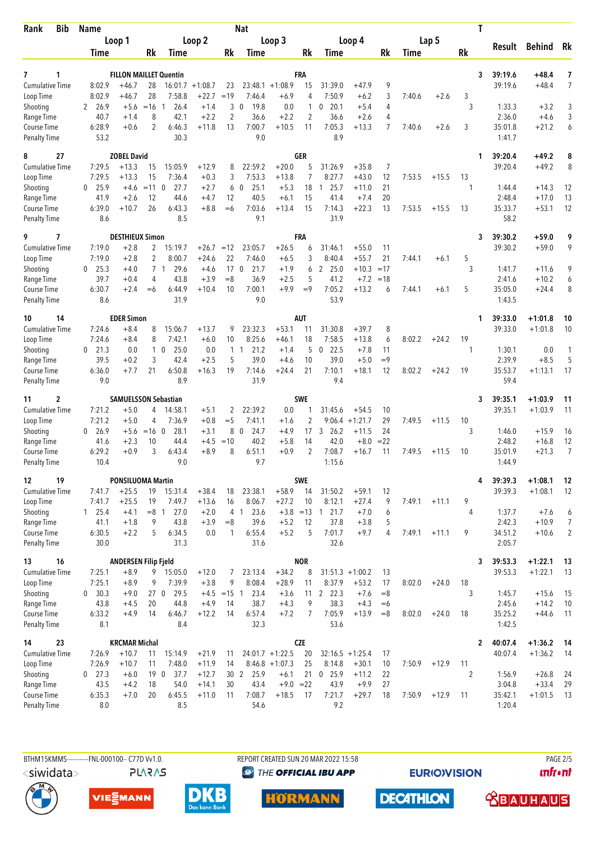| Bib<br>Rank                         | <b>Name</b>                      |                               |                       |                        |                    |                      | <b>Nat</b>                     |                            |                      |                                  |                    |              |             |         |                      |                    |                        |                      |
|-------------------------------------|----------------------------------|-------------------------------|-----------------------|------------------------|--------------------|----------------------|--------------------------------|----------------------------|----------------------|----------------------------------|--------------------|--------------|-------------|---------|----------------------|--------------------|------------------------|----------------------|
|                                     | Loop 1                           |                               | Loop 2                |                        | Loop 3             |                      |                                |                            | Loop 4               |                                  |                    |              | Lap 5       | Result  |                      | <b>Behind</b>      | Rk                     |                      |
|                                     | Time                             |                               | Rk                    | Time                   |                    | Rk                   | Time                           |                            | Rk                   | Time                             |                    | Rk           | <b>Time</b> |         | Rk                   |                    |                        |                      |
| 1<br>7                              |                                  | <b>FILLON MAILLET Quentin</b> |                       |                        |                    |                      |                                |                            | FRA                  |                                  |                    |              |             |         | 3                    | 39:19.6            | +48.4                  | 7                    |
| Cumulative Time                     | 8:02.9                           | $+46.7$                       | 28                    | $16:01.7 +1:08.7$      |                    | 23                   | 23:48.1                        | $+1:08.9$                  | 15                   | 31:39.0                          | $+47.9$            | 9            |             |         |                      | 39:19.6            | $+48.4$                | $\overline{7}$       |
| Loop Time                           | 8:02.9                           | $+46.7$                       | 28                    | 7:58.8                 | $+22.7$            | $=19$                | 7:46.4                         | $+6.9$                     | 4                    | 7:50.9                           | $+6.2$             | 3            | 7:40.6      | $+2.6$  | 3                    |                    |                        |                      |
| Shooting                            | 26.9<br>2                        | $+5.6$                        | $=16$ 1               | 26.4                   | $+1.4$             | 3                    | 19.8<br>$\mathbf{0}$           | 0.0                        | $\mathbf{1}$         | 20.1<br>0                        | $+5.4$             | 4            |             |         | 3                    | 1:33.3             | $+3.2$                 | 3                    |
| Range Time<br>Course Time           | 40.7<br>6:28.9                   | $+1.4$<br>$+0.6$              | 8<br>2                | 42.1<br>6:46.3         | $+2.2$<br>$+11.8$  | $\overline{2}$<br>13 | 36.6<br>7:00.7                 | $+2.2$<br>$+10.5$          | $\overline{2}$<br>11 | 36.6<br>7:05.3                   | $+2.6$<br>$+13.3$  | 4<br>7       | 7:40.6      | $+2.6$  | 3                    | 2:36.0<br>35:01.8  | $+4.6$<br>$+21.2$      | 3<br>6               |
| <b>Penalty Time</b>                 | 53.2                             |                               |                       | 30.3                   |                    |                      | 9.0                            |                            |                      | 8.9                              |                    |              |             |         |                      | 1:41.7             |                        |                      |
| 27<br>8                             |                                  | <b>ZOBEL David</b>            |                       |                        |                    |                      |                                |                            | <b>GER</b>           |                                  |                    |              |             |         | 1                    | 39:20.4            | +49.2                  | 8                    |
| <b>Cumulative Time</b>              | 7:29.5                           | $+13.3$                       | 15                    | 15:05.9                | $+12.9$            | 8                    | 22:59.2                        | $+20.0$                    | 5                    | 31:26.9                          | $+35.8$            | 7            |             |         |                      | 39:20.4            | $+49.2$                | 8                    |
| Loop Time<br>Shooting               | 7:29.5<br>25.9<br>$\overline{0}$ | $+13.3$<br>$+4.6$             | 15<br>$= 11$ 0        | 7:36.4<br>27.7         | $+0.3$<br>$+2.7$   | 3<br>6               | 7:53.3<br>25.1<br>$\mathbf{0}$ | $+13.8$<br>$+5.3$          | 7<br>18              | 8:27.7<br>25.7<br>$\mathbf{1}$   | $+43.0$<br>$+11.0$ | 12<br>21     | 7:53.5      | $+15.5$ | 13<br>1              | 1:44.4             | $+14.3$                | 12                   |
| Range Time                          | 41.9                             | $+2.6$                        | 12                    | 44.6                   | $+4.7$             | 12                   | 40.5                           | $+6.1$                     | 15                   | 41.4                             | $+7.4$             | 20           |             |         |                      | 2:48.4             | $+17.0$                | 13                   |
| Course Time                         | 6:39.0                           | $+10.7$                       | 26                    | 6:43.3                 | $+8.8$             | $=6$                 | 7:03.6                         | $+13.4$                    | 15                   | 7:14.3                           | $+22.3$            | 13           | 7:53.5      | $+15.5$ | 13                   | 35:33.7            | $+53.1$                | 12                   |
| <b>Penalty Time</b>                 | 8.6                              |                               |                       | 8.5                    |                    |                      | 9.1                            |                            |                      | 31.9                             |                    |              |             |         |                      | 58.2               |                        |                      |
| 7<br>9                              |                                  | <b>DESTHIEUX Simon</b>        |                       |                        |                    |                      |                                |                            | <b>FRA</b>           |                                  |                    |              |             |         | 3                    | 39:30.2            | $+59.0$                | 9                    |
| <b>Cumulative Time</b><br>Loop Time | 7:19.0<br>7:19.0                 | $+2.8$<br>$+2.8$              | 2<br>2                | 15:19.7<br>8:00.7      | $+26.7$<br>$+24.6$ | $=12$<br>22          | 23:05.7<br>7:46.0              | $+26.5$<br>$+6.5$          | 6<br>3               | 31:46.1<br>8:40.4                | $+55.0$<br>$+55.7$ | 11<br>21     | 7:44.1      | $+6.1$  | 5                    | 39:30.2            | $+59.0$                | 9                    |
| Shooting                            | 25.3<br>0                        | $+4.0$                        |                       | 7 <sub>1</sub><br>29.6 | $+4.6$             | 17 <sub>0</sub>      | 21.7                           | $+1.9$                     | 6                    | 2<br>25.0                        | $+10.3$            | $=17$        |             |         | 3                    | 1:41.7             | $+11.6$                | 9                    |
| Range Time                          | 39.7                             | $+0.4$                        | 4                     | 43.8                   | $+3.9$             | $=8$                 | 36.9                           | $+2.5$                     | 5                    | 41.2                             | $+7.2$             | $=18$        |             |         |                      | 2:41.6             | $+10.2$                | 6                    |
| Course Time<br><b>Penalty Time</b>  | 6:30.7<br>8.6                    | $+2.4$                        | $=6$                  | 6:44.9<br>31.9         | $+10.4$            | 10                   | 7:00.1<br>9.0                  | $+9.9$                     | $=9$                 | 7:05.2<br>53.9                   | $+13.2$            | 6            | 7:44.1      | $+6.1$  | 5                    | 35:05.0<br>1:43.5  | $+24.4$                | 8                    |
|                                     |                                  |                               |                       |                        |                    |                      |                                |                            |                      |                                  |                    |              |             |         |                      |                    |                        |                      |
| 14<br>10<br><b>Cumulative Time</b>  | 7:24.6                           | <b>EDER Simon</b><br>$+8.4$   | 8                     | 15:06.7                | $+13.7$            | 9                    | 23:32.3                        | $+53.1$                    | <b>AUT</b><br>11     | 31:30.8                          | $+39.7$            | 8            |             |         | 1                    | 39:33.0<br>39:33.0 | $+1:01.8$<br>$+1:01.8$ | 10<br>10             |
| Loop Time                           | 7:24.6                           | $+8.4$                        | 8                     | 7:42.1                 | $+6.0$             | 10                   | 8:25.6                         | $+46.1$                    | 18                   | 7:58.5                           | $+13.8$            | 6            | 8:02.2      | $+24.2$ | 19                   |                    |                        |                      |
| Shooting                            | $0$ 21.3                         | 0.0                           |                       | 25.0<br>$1\quad0$      | 0.0                | $\mathbf{1}$         | 21.2<br>1                      | $+1.4$                     | 5                    | 22.5<br>$\mathbf{0}$             | $+7.8$             | 11           |             |         | $\mathbf{1}$         | 1:30.1             | 0.0                    | 1                    |
| Range Time                          | 39.5                             | $+0.2$                        | 3                     | 42.4                   | $+2.5$             | 5                    | 39.0                           | $+4.6$                     | 10                   | 39.0                             | $+5.0$             | $=9$         |             |         |                      | 2:39.9             | $+8.5$                 | 5                    |
| Course Time<br><b>Penalty Time</b>  | 6:36.0<br>9.0                    | $+7.7$                        | 21                    | 6:50.8<br>8.9          | $+16.3$            | 19                   | 7:14.6<br>31.9                 | $+24.4$                    | 21                   | 7:10.1<br>9.4                    | $+18.1$            | 12           | 8:02.2      | $+24.2$ | 19                   | 35:53.7<br>59.4    | $+1:13.1$              | 17                   |
| 2<br>11                             |                                  | <b>SAMUELSSON Sebastian</b>   |                       |                        |                    |                      |                                |                            | <b>SWE</b>           |                                  |                    |              |             |         | 3                    | 39:35.1            | $+1:03.9$              | 11                   |
| <b>Cumulative Time</b>              | 7:21.2                           | $+5.0$                        | 4                     | 14:58.1                | $+5.1$             | 2                    | 22:39.2                        | 0.0                        |                      | 31:45.6                          | $+54.5$            | 10           |             |         |                      | 39:35.1            | $+1:03.9$              | 11                   |
| Loop Time                           | 7:21.2                           | $+5.0$                        | 4                     | 7:36.9                 | $+0.8$             | $=$ 5                | 7:41.1                         | $+1.6$                     | $\overline{c}$       |                                  | $9:06.4 +1:21.7$   | 29           | 7:49.5      | $+11.5$ | 10                   |                    |                        |                      |
| Shooting                            | 26.9<br>0                        |                               | $+5.6 = 16$ 0         | 28.1                   | $+3.1$             |                      | 8 0<br>24.7                    | $+4.9$                     | 17                   | 3<br>26.2                        | $+11.5$            | 24           |             |         | 3                    | 1:46.0             | $+15.9$                | 16                   |
| Range Time<br><b>Course Time</b>    | 41.6<br>6:29.2                   | $+2.3$<br>$+0.9$              | 10<br>3               | 44.4<br>6:43.4         | $+4.5$<br>$+8.9$   | $=10$<br>8           | 40.2<br>6:51.1                 | $+5.8$<br>$+0.9$           | 14<br>$\overline{2}$ | 42.0<br>7:08.7                   | $+8.0$<br>$+16.7$  | $= 22$<br>11 | 7:49.5      | $+11.5$ | 10                   | 2:48.2<br>35:01.9  | $+16.8$<br>$+21.3$     | 12<br>$\overline{7}$ |
| <b>Penalty Time</b>                 | 10.4                             |                               |                       | 9.0                    |                    |                      | 9.7                            |                            |                      | 1:15.6                           |                    |              |             |         |                      | 1:44.9             |                        |                      |
| 19<br>12                            |                                  | PONSILUOMA Martin             |                       |                        |                    |                      |                                |                            | SWE                  |                                  |                    |              |             |         | 4                    | 39:39.3            | $+1:08.1$              | 12                   |
| <b>Cumulative Time</b>              | 7:41.7                           | $+25.5$                       | 19                    | 15:31.4                | $+38.4$            | 18                   | 23:38.1                        | $+58.9$                    | 14                   | 31:50.2                          | $+59.1$            | 12           |             |         |                      | 39:39.3            | $+1:08.1$              | 12                   |
| Loop Time                           | 7:41.7                           | $+25.5$                       | 19                    | 7:49.7                 | $+13.6$            | 16                   | 8:06.7                         | $+27.2$                    | 10                   | 8:12.1                           | $+27.4$            | 9            | 7:49.1      | $+11.1$ | 9                    |                    |                        |                      |
| Shooting<br>Range Time              | $1 \quad 25.4$<br>41.1           | $+4.1$<br>$+1.8$              | $=8$ 1<br>9           | 27.0<br>43.8           | $+2.0$<br>$+3.9$   | $= 8$                | 23.6<br>4 1<br>39.6            | $+5.2$                     | 12                   | $+3.8$ = 13 1 21.7<br>37.8       | $+7.0$<br>$+3.8$   | 6<br>5       |             |         | 4                    | 1:37.7<br>2:42.3   | $+7.6$<br>$+10.9$      | 6<br>$\overline{7}$  |
| Course Time                         | 6:30.5                           | $+2.2$                        | 5                     | 6:34.5                 | 0.0                | 1                    | 6:55.4                         | $+5.2$                     | 5                    | 7:01.7                           | $+9.7$             | 4            | 7:49.1      | $+11.1$ | 9                    | 34:51.2            | $+10.6$                | $\overline{2}$       |
| <b>Penalty Time</b>                 | 30.0                             |                               |                       | 31.3                   |                    |                      | 31.6                           |                            |                      | 32.6                             |                    |              |             |         |                      | 2:05.7             |                        |                      |
| 16<br>13                            |                                  | <b>ANDERSEN Filip Fjeld</b>   |                       |                        |                    |                      |                                |                            | <b>NOR</b>           |                                  |                    |              |             |         | 3                    | 39:53.3            | $+1:22.1$              | 13                   |
| <b>Cumulative Time</b>              | 7:25.1                           | $+8.9$                        |                       | 9 15:05.0              | $+12.0$            | 7                    | 23:13.4                        | $+34.2$                    | 8                    | $31:51.3 +1:00.2$                |                    | 13           |             |         |                      | 39:53.3            | $+1:22.1$              | 13                   |
| Loop Time<br>Shooting               | 7:25.1<br>30.3<br>$\mathbf{0}$   | $+8.9$<br>$+9.0$              | 9<br>270              | 7:39.9<br>29.5         | $+3.8$             | 9<br>$+4.5$ = 15 1   | 8:08.4<br>23.4                 | $+28.9$<br>$+3.6$          | 11<br>11             | 8:37.9<br>22.3<br>$\overline{2}$ | $+53.2$<br>$+7.6$  | 17<br>$=8$   | 8:02.0      | $+24.0$ | 18<br>3              | 1:45.7             | $+15.6$                | 15                   |
| Range Time                          | 43.8                             | $+4.5$                        | 20                    | 44.8                   | $+4.9$             | 14                   | 38.7                           | $+4.3$                     | 9                    | 38.3                             | $+4.3$             | $=6$         |             |         |                      | 2:45.6             | $+14.2$                | 10                   |
| Course Time                         | 6:33.2                           | $+4.9$                        | 14                    | 6:46.7                 | $+12.2$            | 14                   | 6:57.4                         | $+7.2$                     | 7                    | 7:05.9                           | $+13.9$            | $=8$         | 8:02.0      | $+24.0$ | 18                   | 35:25.2            | $+44.6$                | 11                   |
| <b>Penalty Time</b>                 | 8.1                              |                               |                       | 8.4                    |                    |                      | 32.3                           |                            |                      | 53.6                             |                    |              |             |         |                      | 1:42.5             |                        |                      |
| 23<br>14                            |                                  | <b>KRCMAR Michal</b>          |                       |                        |                    |                      |                                |                            | <b>CZE</b>           |                                  |                    |              |             |         | 2                    | 40:07.4            | $+1:36.2$              | -14                  |
| <b>Cumulative Time</b>              | 7:26.9                           | $+10.7$                       | 11                    | 15:14.9                | $+21.9$            | 11                   |                                | $24:01.7 +1:22.5$          | 20                   | $32:16.5 + 1:25.4$               |                    | 17           |             |         |                      | 40:07.4            | $+1:36.2$              | -14                  |
| Loop Time<br>Shooting               | 7:26.9<br>$0$ 27.3               | $+10.7$<br>$+6.0$             | 11<br>19 <sub>0</sub> | 7:48.0<br>37.7         | $+11.9$<br>$+12.7$ | 14                   | 30 2 25.9                      | $8:46.8 +1:07.3$<br>$+6.1$ | 25<br>21             | 8:14.8<br>$0$ 25.9               | $+30.1$<br>$+11.2$ | 10<br>22     | 7:50.9      | $+12.9$ | 11<br>$\overline{2}$ | 1:56.9             | $+26.8$                | 24                   |
| Range Time                          | 43.5                             | $+4.2$                        | 18                    | 54.0                   | $+14.1$            | 30                   | 43.4                           | $+9.0 = 22$                |                      | 43.9                             | $+9.9$             | 27           |             |         |                      | 3:04.8             | $+33.4$                | 29                   |
| Course Time                         | 6:35.3                           | $+7.0$                        | 20                    | 6:45.5                 | $+11.0$            | 11                   | 7:08.7                         | $+18.5$                    | 17                   | 7:21.7                           | $+29.7$            | 18           | 7:50.9      | $+12.9$ | -11                  | 35:42.1            | $+1:01.5$              | 13                   |
| Penalty Time                        | 8.0                              |                               |                       | 8.5                    |                    |                      | 54.6                           |                            |                      | 9.2                              |                    |              |             |         |                      | 1:20.4             |                        |                      |

<siwidata>

**PLARAS** 

BTHM15KMMS-----------FNL-000100-- C77D Vv1.0. REPORT CREATED SUN 20 MAR 2022 15:58 PAGE 2/5 <sup><sup>9</sup> THE OFFICIAL IBU APP</sup>

**EURIOVISION** 

**unfront** 









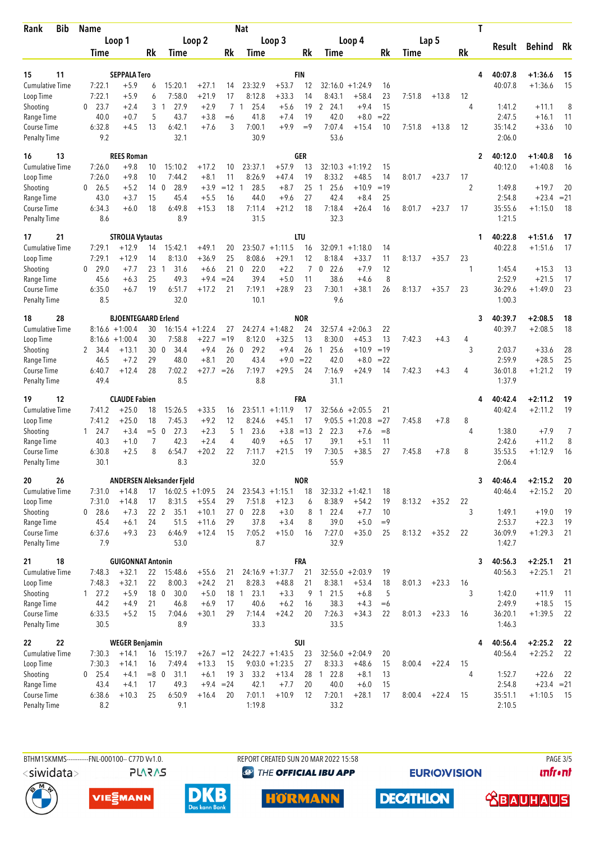| <b>Bib</b><br>Rank                  | <b>Name</b>         |                            | <b>Nat</b>            |                             |                         |                 |                                |                                       |                |                                  |                               |                | T      |         |                      |                   |                      |              |  |  |
|-------------------------------------|---------------------|----------------------------|-----------------------|-----------------------------|-------------------------|-----------------|--------------------------------|---------------------------------------|----------------|----------------------------------|-------------------------------|----------------|--------|---------|----------------------|-------------------|----------------------|--------------|--|--|
|                                     | Loop 1              |                            | Loop 2                |                             |                         |                 | Loop 3                         |                                       | Loop 4         |                                  |                               |                | Lap 5  | Result  |                      | <b>Behind</b>     | Rk                   |              |  |  |
|                                     | Time                |                            | Rk                    | Time                        |                         | Rk              | Time                           |                                       | Rk             | Time                             |                               | Rk             | Time   |         | Rk                   |                   |                      |              |  |  |
| 11<br>15                            |                     | <b>SEPPALA Tero</b>        |                       |                             |                         |                 |                                |                                       | <b>FIN</b>     |                                  |                               |                |        |         | 4                    | 40:07.8           | $+1:36.6$            | 15           |  |  |
| <b>Cumulative Time</b>              | 7:22.1              | $+5.9$                     | 6                     | 15:20.1                     | $+27.1$                 | 14              | 23:32.9                        | $+53.7$                               | 12             | 32:16.0                          | $+1:24.9$                     | 16             |        |         |                      | 40:07.8           | $+1:36.6$            | 15           |  |  |
| Loop Time                           | 7:22.1              | $+5.9$                     | 6                     | 7:58.0                      | $+21.9$                 | 17              | 8:12.8                         | $+33.3$                               | 14             | 8:43.1                           | $+58.4$                       | 23             | 7:51.8 | $+13.8$ | 12                   |                   |                      |              |  |  |
| Shooting                            | 23.7<br>0           | $+2.4$                     | 3                     | 27.9<br>-1                  | $+2.9$                  | $\overline{7}$  | 25.4<br>$\mathbf{1}$           | $+5.6$                                | 19             | 24.1<br>2                        | $+9.4$                        | 15             |        |         | 4                    | 1:41.2            | $+11.1$              | 8            |  |  |
| Range Time                          | 40.0                | $+0.7$                     | 5                     | 43.7                        | $+3.8$                  | $= 6$           | 41.8                           | $+7.4$                                | 19             | 42.0                             | $+8.0$                        | $=22$          |        |         |                      | 2:47.5            | $+16.1$              | 11           |  |  |
| Course Time<br><b>Penalty Time</b>  | 6:32.8<br>9.2       | $+4.5$                     | 13                    | 6:42.1<br>32.1              | $+7.6$                  | 3               | 7:00.1<br>30.9                 | $+9.9$                                | $=9$           | 7:07.4<br>53.6                   | $+15.4$                       | 10             | 7:51.8 | $+13.8$ | 12                   | 35:14.2<br>2:06.0 | $+33.6$              | 10           |  |  |
| 13<br>16                            |                     | <b>REES Roman</b>          |                       |                             |                         |                 |                                |                                       | GER            |                                  |                               |                |        |         | $\mathbf{2}$         | 40:12.0           | $+1:40.8$            | 16           |  |  |
| <b>Cumulative Time</b>              | 7:26.0              | $+9.8$                     | 10                    | 15:10.2                     | $+17.2$                 | 10              | 23:37.1                        | $+57.9$                               | 13             | 32:10.3                          | $+1:19.2$                     | 15             |        |         |                      | 40:12.0           | $+1:40.8$            | 16           |  |  |
| Loop Time                           | 7:26.0              | $+9.8$                     | 10<br>14 <sub>0</sub> | 7:44.2<br>28.9              | $+8.1$<br>$+3.9$        | 11<br>$=12$     | 8:26.9<br>28.5<br>-1           | $+47.4$<br>$+8.7$                     | 19             | 8:33.2<br>25.6<br>$\overline{1}$ | $+48.5$<br>$+10.9$            | 14<br>$=19$    | 8:01.7 | $+23.7$ | 17<br>$\overline{2}$ | 1:49.8            | $+19.7$              |              |  |  |
| Shooting<br>Range Time              | 26.5<br>0<br>43.0   | $+5.2$<br>$+3.7$           | 15                    | 45.4                        | $+5.5$                  | 16              | 44.0                           | $+9.6$                                | 25<br>27       | 42.4                             | $+8.4$                        | 25             |        |         |                      | 2:54.8            | $+23.4$              | 20<br>$= 21$ |  |  |
| Course Time                         | 6:34.3              | $+6.0$                     | 18                    | 6:49.8                      | $+15.3$                 | 18              | 7:11.4                         | $+21.2$                               | 18             | 7:18.4                           | $+26.4$                       | 16             | 8:01.7 | $+23.7$ | 17                   | 35:55.6           | $+1:15.0$            | 18           |  |  |
| <b>Penalty Time</b>                 | 8.6                 |                            |                       | 8.9                         |                         |                 | 31.5                           |                                       |                | 32.3                             |                               |                |        |         |                      | 1:21.5            |                      |              |  |  |
| 21<br>17                            |                     | <b>STROLIA Vytautas</b>    |                       |                             |                         |                 |                                |                                       | LTU            |                                  |                               |                |        |         |                      | 40:22.8           | $+1:51.6$            | 17           |  |  |
| <b>Cumulative Time</b><br>Loop Time | 7:29.1<br>7:29.1    | $+12.9$<br>$+12.9$         | 14<br>14              | 15:42.1<br>8:13.0           | $+49.1$<br>$+36.9$      | 20<br>25        | 8:08.6                         | $23:50.7 +1:11.5$<br>$+29.1$          | 16<br>12       | 32:09.1<br>8:18.4                | $+1:18.0$<br>$+33.7$          | 14<br>11       | 8:13.7 | $+35.7$ | 23                   | 40:22.8           | $+1:51.6$            | 17           |  |  |
| Shooting                            | 29.0<br>0           | $+7.7$                     | 23                    | 31.6<br>-1                  | $+6.6$                  | 210             | 22.0                           | $+2.2$                                | $\overline{7}$ | 22.6<br>0                        | $+7.9$                        | 12             |        |         | 1                    | 1:45.4            | $+15.3$              | 13           |  |  |
| Range Time                          | 45.6                | $+6.3$                     | 25                    | 49.3                        | $+9.4$                  | $= 24$          | 39.4                           | $+5.0$                                | 11             | 38.6                             | $+4.6$                        | 8              |        |         |                      | 2:52.9            | $+21.5$              | 17           |  |  |
| Course Time<br><b>Penalty Time</b>  | 6:35.0<br>8.5       | $+6.7$                     | 19                    | 6:51.7<br>32.0              | $+17.2$                 | 21              | 7:19.1<br>10.1                 | $+28.9$                               | 23             | 7:30.1<br>9.6                    | $+38.1$                       | 26             | 8:13.7 | $+35.7$ | 23                   | 36:29.6<br>1:00.3 | $+1:49.0$            | 23           |  |  |
| 28<br>18                            |                     | <b>BJOENTEGAARD Erlend</b> |                       |                             |                         |                 |                                |                                       | <b>NOR</b>     |                                  |                               |                |        |         | 3                    | 40:39.7           | $+2:08.5$            | 18           |  |  |
| <b>Cumulative Time</b>              |                     | $8:16.6 + 1:00.4$          | 30                    |                             | $16:15.4 + 1:22.4$      | 27              |                                | $24:27.4 +1:48.2$                     | 24             | 32:57.4                          | $+2:06.3$                     | 22             |        |         |                      | 40:39.7           | $+2:08.5$            | 18           |  |  |
| Loop Time                           | 8:16.6              | $+1:00.4$                  | 30                    | 7:58.8                      | $+22.7$                 | $=19$           | 8:12.0                         | $+32.5$                               | 13             | 8:30.0                           | $+45.3$                       | 13             | 7:42.3 | $+4.3$  | 4                    |                   |                      |              |  |  |
| Shooting                            | 2 34.4              | $+13.1$                    | 30 <sub>0</sub>       | 34.4                        | $+9.4$                  | 26              | 29.2<br>$\mathbf{0}$           | $+9.4$                                | 26             | 25.6<br>-1                       | $+10.9$                       | $=19$          |        |         | 3                    | 2:03.7            | $+33.6$              | 28           |  |  |
| Range Time<br>Course Time           | 46.5<br>6:40.7      | $+7.2$<br>$+12.4$          | 29<br>28              | 48.0<br>7:02.2              | $+8.1$<br>$+27.7 = 26$  | 20              | 43.4<br>7:19.7                 | $+9.0$<br>$+29.5$                     | $= 22$<br>24   | 42.0<br>7:16.9                   | $+8.0$<br>$+24.9$             | $= 22$<br>14   | 7:42.3 | $+4.3$  | 4                    | 2:59.9<br>36:01.8 | $+28.5$<br>$+1:21.2$ | 25<br>19     |  |  |
| <b>Penalty Time</b>                 | 49.4                |                            |                       | 8.5                         |                         |                 | 8.8                            |                                       |                | 31.1                             |                               |                |        |         |                      | 1:37.9            |                      |              |  |  |
| 12<br>19                            |                     | <b>CLAUDE Fabien</b>       |                       |                             |                         |                 |                                |                                       | FRA            |                                  |                               |                |        |         |                      | 40:42.4           | $+2:11.2$            | 19           |  |  |
| Cumulative Time                     | 7:41.2              | $+25.0$                    | 18                    | 15:26.5                     | $+33.5$                 | 16              |                                | $23:51.1 +1:11.9$                     | 17             |                                  | $32:56.6 + 2:05.5$            | 21             |        |         |                      | 40:42.4           | $+2:11.2$            | 19           |  |  |
| Loop Time<br>Shooting               | 7:41.2<br>24.7<br>1 | $+25.0$<br>$+3.4$          | 18<br>$=5$ 0          | 7:45.3<br>27.3              | $+9.2$<br>$+2.3$        | 12<br>5         | 8:24.6<br>23.6<br>$\mathbf{1}$ | $+45.1$<br>$+3.8$                     | 17<br>$=13$    | 2<br>22.3                        | $9:05.5 +1:20.8$<br>$+7.6$    | $= 27$<br>$=8$ | 7:45.8 | $+7.8$  | 8<br>4               | 1:38.0            | $+7.9$               | 7            |  |  |
| Range Time                          | 40.3                | $+1.0$                     | 7                     | 42.3                        | $+2.4$                  | 4               | 40.9                           | $+6.5$                                | 17             | 39.1                             | $+5.1$                        | 11             |        |         |                      | 2:42.6            | $+11.2$              | 8            |  |  |
| <b>Course Time</b>                  | 6:30.8              | $+2.5$                     | 8                     | 6:54.7                      | $+20.2$                 | 22              | 7:11.7                         | $+21.5$                               | 19             | 7:30.5                           | $+38.5$                       | 27             | 7:45.8 | $+7.8$  | 8                    | 35:53.5           | $+1:12.9$            | 16           |  |  |
| <b>Penalty Time</b>                 | 30.1                |                            |                       | 8.3                         |                         |                 | 32.0                           |                                       |                | 55.9                             |                               |                |        |         |                      | 2:06.4            |                      |              |  |  |
| 26<br>20                            |                     |                            |                       | ANDERSEN Aleksander Fjeld   |                         |                 |                                |                                       | <b>NOR</b>     |                                  |                               |                |        |         | 3                    | 40:46.4           | $+2:15.2$            | 20           |  |  |
| Cumulative Time<br>Loop Time        | 7:31.0<br>7:31.0    | $+14.8$<br>$+14.8$         | 17<br>17              | $16:02.5 +1:09.5$<br>8:31.5 | $+55.4$                 | 24<br>29        | 7:51.8                         | $23:54.3 +1:15.1$<br>$+12.3$          | 18<br>6        | 8:38.9                           | $32:33.2 +1:42.1$<br>$+54.2$  | 18<br>19       | 8:13.2 | $+35.2$ | 22                   | 40:46.4           | $+2:15.2$            | 20           |  |  |
| Shooting                            | $0$ 28.6            | $+7.3$                     | 22 2                  | 35.1                        | $+10.1$                 |                 | 27 0<br>22.8                   | $+3.0$                                | 8              | $1 \t22.4$                       | $+7.7$                        | 10             |        |         | 3                    | 1:49.1            | $+19.0$              | 19           |  |  |
| Range Time                          | 45.4                | $+6.1$                     | 24                    | 51.5                        | $+11.6$                 | 29              | 37.8                           | $+3.4$                                | 8              | 39.0                             | $+5.0$                        | $=9$           |        |         |                      | 2:53.7            | $+22.3$              | 19           |  |  |
| Course Time                         | 6:37.6              | $+9.3$                     | 23                    | 6:46.9                      | $+12.4$                 | 15              | 7:05.2                         | $+15.0$                               | 16             | 7:27.0                           | $+35.0$                       | 25             | 8:13.2 | $+35.2$ | 22                   | 36:09.9           | $+1:29.3$            | 21           |  |  |
| <b>Penalty Time</b>                 | 7.9                 |                            |                       | 53.0                        |                         |                 | 8.7                            |                                       |                | 32.9                             |                               |                |        |         |                      | 1:42.7            |                      |              |  |  |
| 18<br>21                            |                     | <b>GUIGONNAT Antonin</b>   |                       |                             |                         |                 |                                |                                       | <b>FRA</b>     |                                  |                               |                |        |         | 3                    | 40:56.3           | $+2:25.1$            | 21           |  |  |
| <b>Cumulative Time</b>              | 7:48.3              | $+32.1$                    | 22                    | 15:48.6                     | $+55.6$                 | 21              |                                | $24:16.9 + 1:37.7$                    | 21             |                                  | $32:55.0 + 2:03.9$            | 19             |        |         |                      | 40:56.3           | $+2:25.1$            | 21           |  |  |
| Loop Time<br>Shooting               | 7:48.3<br>127.2     | $+32.1$<br>$+5.9$          | 22<br>18 0            | 8:00.3<br>30.0              | $+24.2$<br>$+5.0$       | 21<br>18 1      | 8:28.3<br>23.1                 | $+48.8$<br>$+3.3$                     | 21<br>9        | 8:38.1<br>21.5<br>$\overline{1}$ | $+53.4$<br>$+6.8$             | 18<br>5        | 8:01.3 | $+23.3$ | 16<br>3              | 1:42.0            | $+11.9$              | -11          |  |  |
| Range Time                          | 44.2                | $+4.9$                     | 21                    | 46.8                        | $+6.9$                  | 17              | 40.6                           | $+6.2$                                | 16             | 38.3                             | $+4.3$                        | $=6$           |        |         |                      | 2:49.9            | $+18.5$              | 15           |  |  |
| Course Time                         | 6:33.5              | $+5.2$                     | 15                    | 7:04.6                      | $+30.1$                 | 29              | 7:14.4                         | $+24.2$                               | 20             | 7:26.3                           | $+34.3$                       | 22             | 8:01.3 | $+23.3$ | 16                   | 36:20.1           | $+1:39.5$            | 22           |  |  |
| <b>Penalty Time</b>                 | 30.5                |                            |                       | 8.9                         |                         |                 | 33.3                           |                                       |                | 33.5                             |                               |                |        |         |                      | 1:46.3            |                      |              |  |  |
| 22<br>22                            |                     | <b>WEGER Benjamin</b>      |                       |                             |                         |                 |                                |                                       | SUI            |                                  |                               |                |        |         | 4                    | 40:56.4           | $+2:25.2$            | -22          |  |  |
| <b>Cumulative Time</b><br>Loop Time | 7:30.3<br>7:30.3    | $+14.1$<br>$+14.1$         | 16<br>16              | 15:19.7<br>7:49.4           | $+26.7 = 12$<br>$+13.3$ | 15              |                                | $24:22.7 +1:43.5$<br>$9:03.0 +1:23.5$ | 23<br>27       | 8:33.3                           | $32:56.0 + 2:04.9$<br>$+48.6$ | 20<br>15       | 8:00.4 | $+22.4$ | 15                   | 40:56.4           | $+2:25.2$            | 22           |  |  |
| Shooting                            | $0$ 25.4            | $+4.1$                     | $= 8$ 0               | 31.1                        | $+6.1$                  | 19 <sup>3</sup> | 33.2                           | $+13.4$                               | 28             | 122.8                            | $+8.1$                        | 13             |        |         | 4                    | 1:52.7            | $+22.6$              | 22           |  |  |
| Range Time                          | 43.4                | $+4.1$                     | 17                    | 49.3                        | $+9.4 = 24$             |                 | 42.1                           | $+7.7$                                | 20             | 40.0                             | $+6.0$                        | 15             |        |         |                      | 2:54.8            | $+23.4 = 21$         |              |  |  |
| Course Time                         | 6:38.6              | $+10.3$                    | 25                    | 6:50.9                      | $+16.4$                 | 20              | 7:01.1                         | $+10.9$                               | 12             | 7:20.1                           | $+28.1$                       | 17             | 8:00.4 | $+22.4$ | 15                   | 35:51.1           | $+1:10.5$            | - 15         |  |  |
| <b>Penalty Time</b>                 | 8.2                 |                            |                       | 9.1                         |                         |                 | 1:19.8                         |                                       |                | 33.2                             |                               |                |        |         |                      | 2:10.5            |                      |              |  |  |

<siwidata>

BTHM15KMMS------------FNL-000100-- C77D Vv1.0. **PLARAS**  REPORT CREATED SUN 20 MAR 2022 15:58

<sup><sup>9</sup> THE OFFICIAL IBU APP</sup>

**EURIOVISION** 

**PAGE 3/5** *<u><u>Infront</u>*</u>









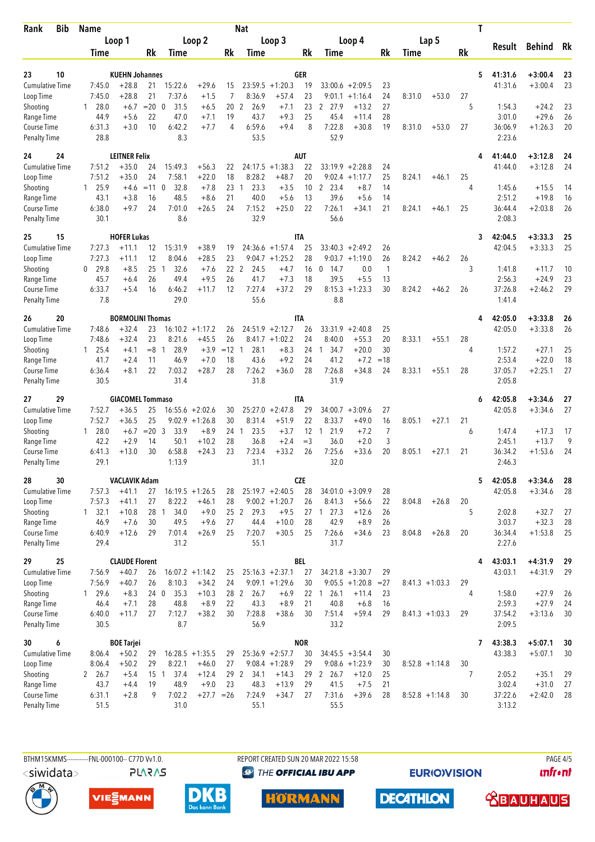| Bib<br>Rank                         | <b>Name</b>              |                         |           | <b>Nat</b>             |                               |                 |                         |                                       |             |                                  |                        |                |        | T                |                |                   |                      |          |  |  |  |
|-------------------------------------|--------------------------|-------------------------|-----------|------------------------|-------------------------------|-----------------|-------------------------|---------------------------------------|-------------|----------------------------------|------------------------|----------------|--------|------------------|----------------|-------------------|----------------------|----------|--|--|--|
|                                     | Loop 1                   |                         | Loop 2    |                        | Loop 3                        |                 |                         |                                       | Loop 4      | Lap 5                            |                        |                |        |                  |                |                   |                      |          |  |  |  |
|                                     | Time                     |                         | Rk        | Time                   |                               | Rk              | Time                    |                                       | Rk          | Time                             |                        | Rk             | Time   |                  | Rk             | Result            | <b>Behind</b>        | Rk       |  |  |  |
|                                     |                          |                         |           |                        |                               |                 |                         |                                       |             |                                  |                        |                |        |                  |                |                   |                      |          |  |  |  |
| 10<br>23                            |                          | <b>KUEHN Johannes</b>   |           |                        |                               |                 |                         |                                       | GER         |                                  |                        |                |        |                  | 5              | 41:31.6           | $+3:00.4$            | 23       |  |  |  |
| <b>Cumulative Time</b><br>Loop Time | 7:45.0<br>7:45.0         | $+28.8$<br>$+28.8$      | 21<br>21  | 15:22.6<br>7:37.6      | $+29.6$<br>$+1.5$             | 15<br>7         | 23:59.5<br>8:36.9       | $+1:20.3$<br>$+57.4$                  | 19<br>23    | 33:00.6<br>9:01.1                | $+2:09.5$<br>$+1:16.4$ | 23<br>24       | 8:31.0 | $+53.0$          | 27             | 41:31.6           | $+3:00.4$            | 23       |  |  |  |
| Shooting                            | 28.0<br>1                | $+6.7$                  | $=20$     | $\mathbf 0$<br>31.5    | $+6.5$                        | 20              | 2<br>26.9               | $+7.1$                                | 23          | 2 27.9                           | $+13.2$                | 27             |        |                  | 5              | 1:54.3            | $+24.2$              | 23       |  |  |  |
| Range Time                          | 44.9                     | $+5.6$                  | 22        | 47.0                   | $+7.1$                        | 19              | 43.7                    | $+9.3$                                | 25          | 45.4                             | $+11.4$                | 28             |        |                  |                | 3:01.0            | $+29.6$              | 26       |  |  |  |
| Course Time                         | 6:31.3                   | $+3.0$                  | 10        | 6:42.2                 | $+7.7$                        | 4               | 6:59.6                  | $+9.4$                                | 8           | 7:22.8                           | $+30.8$                | 19             | 8:31.0 | $+53.0$          | 27             | 36:06.9           | $+1:26.3$            | 20       |  |  |  |
| <b>Penalty Time</b>                 | 28.8                     |                         |           | 8.3                    |                               |                 | 53.5                    |                                       |             | 52.9                             |                        |                |        |                  |                | 2:23.6            |                      |          |  |  |  |
| 24<br>24                            |                          | <b>LEITNER Felix</b>    |           |                        |                               |                 |                         |                                       | <b>AUT</b>  |                                  |                        |                |        |                  | 4              | 41:44.0           | $+3:12.8$            | 24       |  |  |  |
| <b>Cumulative Time</b>              | 7:51.2                   | $+35.0$                 | 24        | 15:49.3                | $+56.3$                       | 22              | 24:17.5                 | $+1:38.3$                             | 22          | 33:19.9                          | $+2:28.8$              | 24             |        |                  |                | 41:44.0           | $+3:12.8$            | 24       |  |  |  |
| Loop Time                           | 7:51.2                   | $+35.0$                 | 24        | 7:58.1                 | $+22.0$                       | 18              | 8:28.2                  | $+48.7$                               | 20          | 9:02.4                           | $+1:17.7$              | 25             | 8:24.1 | $+46.1$          | 25             |                   |                      |          |  |  |  |
| Shooting                            | $1\quad 25.9$            | $+4.6$                  | $=11$     | $\mathbf 0$<br>32.8    | $+7.8$                        | 23              | 23.3<br>$\mathbf{1}$    | $+3.5$                                | 10          | $\mathbf{2}$<br>23.4             | $+8.7$                 | 14             |        |                  | 4              | 1:45.6            | $+15.5$              | 14       |  |  |  |
| Range Time<br>Course Time           | 43.1<br>6:38.0           | $+3.8$<br>$+9.7$        | 16<br>24  | 48.5<br>7:01.0         | $+8.6$<br>$+26.5$             | 21<br>24        | 40.0<br>7:15.2          | $+5.6$<br>$+25.0$                     | 13<br>22    | 39.6<br>7:26.1                   | $+5.6$<br>$+34.1$      | 14<br>21       | 8:24.1 | $+46.1$          | 25             | 2:51.2<br>36:44.4 | $+19.8$<br>$+2:03.8$ | 16<br>26 |  |  |  |
| <b>Penalty Time</b>                 | 30.1                     |                         |           | 8.6                    |                               |                 | 32.9                    |                                       |             | 56.6                             |                        |                |        |                  |                | 2:08.3            |                      |          |  |  |  |
| 25<br>15                            |                          | <b>HOFER Lukas</b>      |           |                        |                               |                 |                         |                                       | IΤA         |                                  |                        |                |        |                  | 3              | 42:04.5           | $+3:33.3$            | 25       |  |  |  |
| <b>Cumulative Time</b>              | 7:27.3                   | $+11.1$                 | 12        | 15:31.9                | $+38.9$                       | 19              | 24:36.6                 | $+1:57.4$                             | 25          | 33:40.3                          | $+2:49.2$              | 26             |        |                  |                | 42:04.5           | $+3:33.3$            | 25       |  |  |  |
| Loop Time                           | 7:27.3                   | $+11.1$                 | 12        | 8:04.6                 | $+28.5$                       | 23              |                         | $9:04.7 +1:25.2$                      | 28          | $9:03.7 +1:19.0$                 |                        | 26             | 8:24.2 | $+46.2$          | 26             |                   |                      |          |  |  |  |
| Shooting                            | 29.8<br>0                | $+8.5$                  | 25        | 32.6<br>$\overline{1}$ | $+7.6$                        | 22 <sub>2</sub> | 24.5                    | $+4.7$                                | 16          | 14.7<br>0                        | 0.0                    | 1              |        |                  | 3              | 1:41.8            | $+11.7$              | 10       |  |  |  |
| Range Time                          | 45.7                     | $+6.4$                  | 26        | 49.4                   | $+9.5$                        | 26              | 41.7                    | $+7.3$                                | 18          | 39.5                             | $+5.5$                 | 13             |        |                  |                | 2:56.3            | $+24.9$              | 23       |  |  |  |
| Course Time                         | 6:33.7                   | $+5.4$                  | 16        | 6:46.2<br>29.0         | $+11.7$                       | 12              | 7:27.4<br>55.6          | $+37.2$                               | 29          | $8:15.3 + 1:23.3$                |                        | 30             | 8:24.2 | $+46.2$          | 26             | 37:26.8<br>1:41.4 | $+2:46.2$            | 29       |  |  |  |
| <b>Penalty Time</b>                 | 7.8                      |                         |           |                        |                               |                 |                         |                                       |             | 8.8                              |                        |                |        |                  |                |                   |                      |          |  |  |  |
| 26<br>20                            |                          | <b>BORMOLINI Thomas</b> |           |                        |                               |                 |                         |                                       | ITA         |                                  |                        |                |        |                  | 4              | 42:05.0           | $+3:33.8$            | 26       |  |  |  |
| <b>Cumulative Time</b><br>Loop Time | 7:48.6<br>7:48.6         | $+32.4$<br>$+32.4$      | 23<br>23  | 8:21.6                 | $16:10.2 + 1:17.2$<br>$+45.5$ | 26<br>26        |                         | $24:51.9 +2:12.7$<br>$8:41.7 +1:02.2$ | 26<br>24    | 33:31.9<br>8:40.0                | $+2:40.8$<br>$+55.3$   | 25<br>20       | 8:33.1 | $+55.1$          | 28             | 42:05.0           | $+3:33.8$            | 26       |  |  |  |
| Shooting                            | $1 \quad 25.4$           | $+4.1$                  | $=8$      | 28.9<br>$\overline{1}$ | $+3.9$                        | $=12$           | 28.1<br>1               | $+8.3$                                | 24          | 34.7<br>1                        | $+20.0$                | 30             |        |                  | 4              | 1:57.2            | $+27.1$              | 25       |  |  |  |
| Range Time                          | 41.7                     | $+2.4$                  | 11        | 46.9                   | $+7.0$                        | 18              | 43.6                    | $+9.2$                                | 24          | 41.2                             | $+7.2$                 | $=18$          |        |                  |                | 2:53.4            | $+22.0$              | 18       |  |  |  |
| Course Time                         | 6:36.4                   | $+8.1$                  | 22        | 7:03.2                 | $+28.7$                       | 28              | 7:26.2                  | $+36.0$                               | 28          | 7:26.8                           | $+34.8$                | 24             | 8:33.1 | $+55.1$          | 28             | 37:05.7           | $+2:25.1$            | 27       |  |  |  |
| <b>Penalty Time</b>                 | 30.5                     |                         |           | 31.4                   |                               |                 | 31.8                    |                                       |             | 31.9                             |                        |                |        |                  |                | 2:05.8            |                      |          |  |  |  |
| 29<br>27                            |                          | <b>GIACOMEL Tommaso</b> |           |                        |                               |                 |                         |                                       | <b>ITA</b>  |                                  |                        |                |        |                  | 6              | 42:05.8           | $+3:34.6$            | 27       |  |  |  |
| <b>Cumulative Time</b>              | 7:52.7                   | $+36.5$                 | 25        |                        | $16:55.6 + 2:02.6$            | 30              |                         | $25:27.0 +2:47.8$                     | 29          | $34:00.7 + 3:09.6$               |                        | 27             |        |                  |                | 42:05.8           | $+3:34.6$            | 27       |  |  |  |
| Loop Time                           | 7:52.7                   | $+36.5$                 | 25        |                        | $9:02.9 +1:26.8$              | 30              | 8:31.4                  | $+51.9$                               | 22          | 8:33.7                           | $+49.0$                | 16             | 8:05.1 | $+27.1$          | 21             |                   |                      |          |  |  |  |
| Shooting                            | $1 \quad 28.0$           | $+6.7$                  | $=20$     | 3<br>33.9              | $+8.9$                        | 24 1            | 23.5                    | $+3.7$                                | 12<br>$=$ 3 | 21.9<br>-1                       | $+7.2$                 | $\overline{7}$ |        |                  | 6              | 1:47.4            | $+17.3$<br>$+13.7$   | 17<br>9  |  |  |  |
| Range Time<br>Course Time           | 42.2<br>6:41.3           | $+2.9$<br>$+13.0$       | 14<br>30  | 50.1<br>6:58.8         | $+10.2$<br>$+24.3$            | 28<br>23        | 36.8<br>7:23.4          | $+2.4$<br>$+33.2$                     | 26          | 36.0<br>7:25.6                   | $+2.0$<br>$+33.6$      | 3<br>20        | 8:05.1 | $+27.1$          | 21             | 2:45.1<br>36:34.2 | $+1:53.6$            | 24       |  |  |  |
| <b>Penalty Time</b>                 | 29.1                     |                         |           | 1:13.9                 |                               |                 | 31.1                    |                                       |             | 32.0                             |                        |                |        |                  |                | 2:46.3            |                      |          |  |  |  |
| 30<br>28                            |                          | <b>VACLAVIK Adam</b>    |           |                        |                               |                 |                         |                                       | <b>CZE</b>  |                                  |                        |                |        |                  | 5              | 42:05.8           | $+3:34.6$            | 28       |  |  |  |
| Cumulative Time                     | 7:57.3                   | $+41.1$                 | 27        |                        | $16:19.5 + 1:26.5$            | 28              |                         | $25:19.7 + 2:40.5$                    | 28          | $34:01.0 + 3:09.9$               |                        | 28             |        |                  |                | 42:05.8           | $+3:34.6$            | 28       |  |  |  |
| Loop Time                           | 7:57.3                   | $+41.1$                 | 27        | 8:22.2                 | $+46.1$                       | 28              |                         | $9:00.2 +1:20.7$                      | 26          | 8:41.3                           | $+56.6$                | 22             | 8:04.8 | $+26.8$          | 20             |                   |                      |          |  |  |  |
| Shooting                            | $1 \quad 32.1$           | $+10.8$                 | 28        | $\overline{1}$<br>34.0 | $+9.0$                        |                 | 25 <sub>2</sub><br>29.3 | $+9.5$                                |             | 27 1 27.3                        | $+12.6$                | 26             |        |                  | 5              | 2:02.8            | $+32.7$              | 27       |  |  |  |
| Range Time                          | 46.9                     | $+7.6$                  | 30        | 49.5                   | $+9.6$                        | 27              | 44.4                    | $+10.0$                               | 28          | 42.9                             | $+8.9$                 | 26             |        |                  |                | 3:03.7            | $+32.3$              | 28       |  |  |  |
| Course Time                         | 6:40.9                   | $+12.6$                 | 29        | 7:01.4                 | $+26.9$                       | 25              | 7:20.7                  | $+30.5$                               | 25          | 7:26.6                           | $+34.6$                | 23             | 8:04.8 | $+26.8$          | 20             | 36:34.4           | $+1:53.8$            | 25       |  |  |  |
| <b>Penalty Time</b>                 | 29.4                     |                         |           | 31.2                   |                               |                 | 55.1                    |                                       |             | 31.7                             |                        |                |        |                  |                | 2:27.6            |                      |          |  |  |  |
| 25<br>29                            |                          | <b>CLAUDE Florent</b>   |           |                        |                               |                 |                         |                                       | <b>BEL</b>  |                                  |                        |                |        |                  | 4              | 43:03.1           | $+4:31.9$            | 29       |  |  |  |
| <b>Cumulative Time</b>              | 7:56.9                   | $+40.7$                 | 26        |                        | $16:07.2 +1:14.2$             | 25              |                         | $25:16.3 + 2:37.1$                    | 27          | $34:21.8 + 3:30.7$               |                        | 29             |        |                  |                | 43:03.1           | $+4:31.9$            | 29       |  |  |  |
| Loop Time<br>Shooting               | 7:56.9<br>$1 \quad 29.6$ | $+40.7$<br>$+8.3$       | 26<br>240 | 8:10.3<br>35.3         | $+34.2$<br>$+10.3$            | 24              | 28 2<br>26.7            | $9:09.1 + 1:29.6$<br>$+6.9$           | 30          | $9:05.5 +1:20.8$<br>22 1<br>26.1 | $+11.4$                | $= 27$<br>23   |        | $8:41.3 +1:03.3$ | 29<br>4        | 1:58.0            | $+27.9$              |          |  |  |  |
| Range Time                          | 46.4                     | $+7.1$                  | 28        | 48.8                   | $+8.9$                        | 22              | 43.3                    | $+8.9$                                | 21          | 40.8                             | $+6.8$                 | 16             |        |                  |                | 2:59.3            | $+27.9$              | 26<br>24 |  |  |  |
| Course Time                         | 6:40.0                   | $+11.7$                 | 27        | 7:12.7                 | $+38.2$                       | 30              | 7:28.8                  | $+38.6$                               | 30          | 7:51.4                           | $+59.4$                | 29             |        | $8:41.3 +1:03.3$ | 29             | 37:54.2           | $+3:13.6$            | 30       |  |  |  |
| <b>Penalty Time</b>                 | 30.5                     |                         |           | 8.7                    |                               |                 | 56.9                    |                                       |             | 33.2                             |                        |                |        |                  |                | 2:09.5            |                      |          |  |  |  |
| 6<br>30                             |                          | <b>BOE Tarjei</b>       |           |                        |                               |                 |                         |                                       | <b>NOR</b>  |                                  |                        |                |        |                  | 7              | 43:38.3           | $+5:07.1$            | 30       |  |  |  |
| <b>Cumulative Time</b>              | 8:06.4                   | $+50.2$                 | 29        |                        | $16:28.5 +1:35.5$             | 29              |                         | $25:36.9 + 2:57.7$                    | 30          | $34:45.5 + 3:54.4$               |                        | 30             |        |                  |                | 43:38.3           | $+5:07.1$            | 30       |  |  |  |
| Loop Time                           | 8:06.4                   | $+50.2$                 | 29        | 8:22.1                 | $+46.0$                       | 27              |                         | $9:08.4 +1:28.9$                      | 29          | $9:08.6 +1:23.9$                 |                        | 30             |        | $8:52.8 +1:14.8$ | 30             |                   |                      |          |  |  |  |
| Shooting                            | 2 26.7                   | $+5.4$                  | 15 1      | 37.4                   | $+12.4$                       | 29 2            | 34.1                    | $+14.3$                               | 29          | 2 26.7                           | $+12.0$                | 25             |        |                  | $\overline{7}$ | 2:05.2            | $+35.1$              | 29       |  |  |  |
| Range Time                          | 43.7                     | $+4.4$                  | 19        | 48.9                   | $+9.0$                        | 23              | 48.3                    | $+13.9$                               | 29          | 41.5                             | $+7.5$                 | 21             |        |                  |                | 3:02.4            | $+31.0$              | 27       |  |  |  |
| Course Time<br><b>Penalty Time</b>  | 6:31.1<br>51.5           | $+2.8$                  | 9         | 7:02.2<br>31.0         | $+27.7 = 26$                  |                 | 7:24.9<br>55.1          | $+34.7$                               | 27          | 7:31.6<br>55.5                   | $+39.6$                | 28             |        | $8:52.8 +1:14.8$ | 30             | 37:22.6<br>3:13.2 | $+2:42.0$            | 28       |  |  |  |
|                                     |                          |                         |           |                        |                               |                 |                         |                                       |             |                                  |                        |                |        |                  |                |                   |                      |          |  |  |  |

<siwidata>

**PLARAS** 

BTHM15KMMS-----------FNL-000100-- C77D Vv1.0. REPORT CREATED SUN 20 MAR 2022 15:58 PAGE 4/5 <sup><sup>9</sup> THE OFFICIAL IBU APP</sup>

**EURIOVISION** 

*<u><u>Infront</u>*</u>







**DECATHLON HÖRMANN**